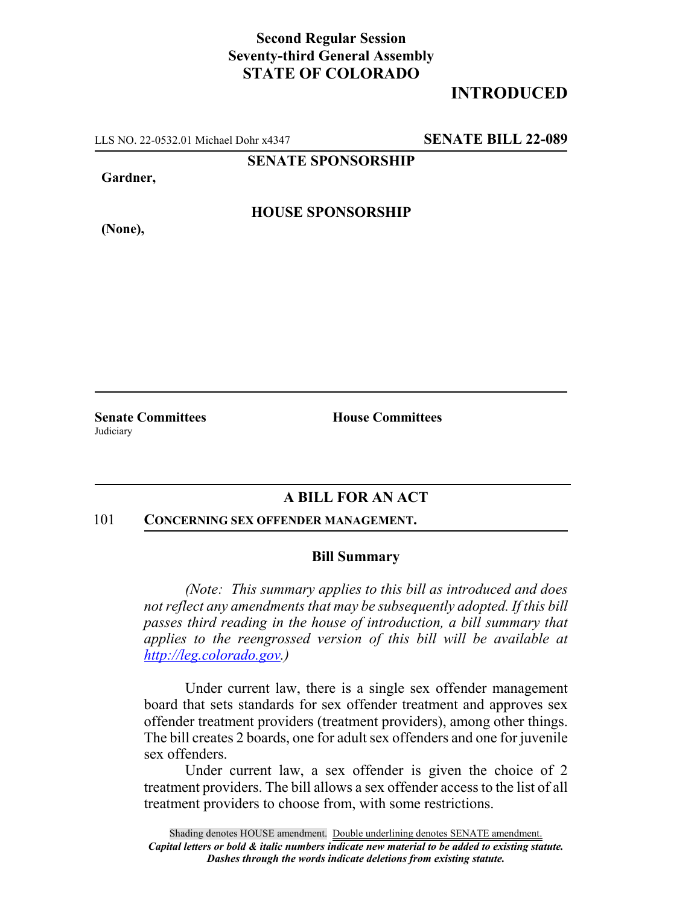## **Second Regular Session Seventy-third General Assembly STATE OF COLORADO**

# **INTRODUCED**

LLS NO. 22-0532.01 Michael Dohr x4347 **SENATE BILL 22-089**

**SENATE SPONSORSHIP**

**Gardner,**

**(None),**

**HOUSE SPONSORSHIP**

**Judiciary** 

**Senate Committees House Committees** 

### **A BILL FOR AN ACT**

#### 101 **CONCERNING SEX OFFENDER MANAGEMENT.**

### **Bill Summary**

*(Note: This summary applies to this bill as introduced and does not reflect any amendments that may be subsequently adopted. If this bill passes third reading in the house of introduction, a bill summary that applies to the reengrossed version of this bill will be available at http://leg.colorado.gov.)*

Under current law, there is a single sex offender management board that sets standards for sex offender treatment and approves sex offender treatment providers (treatment providers), among other things. The bill creates 2 boards, one for adult sex offenders and one for juvenile sex offenders.

Under current law, a sex offender is given the choice of 2 treatment providers. The bill allows a sex offender access to the list of all treatment providers to choose from, with some restrictions.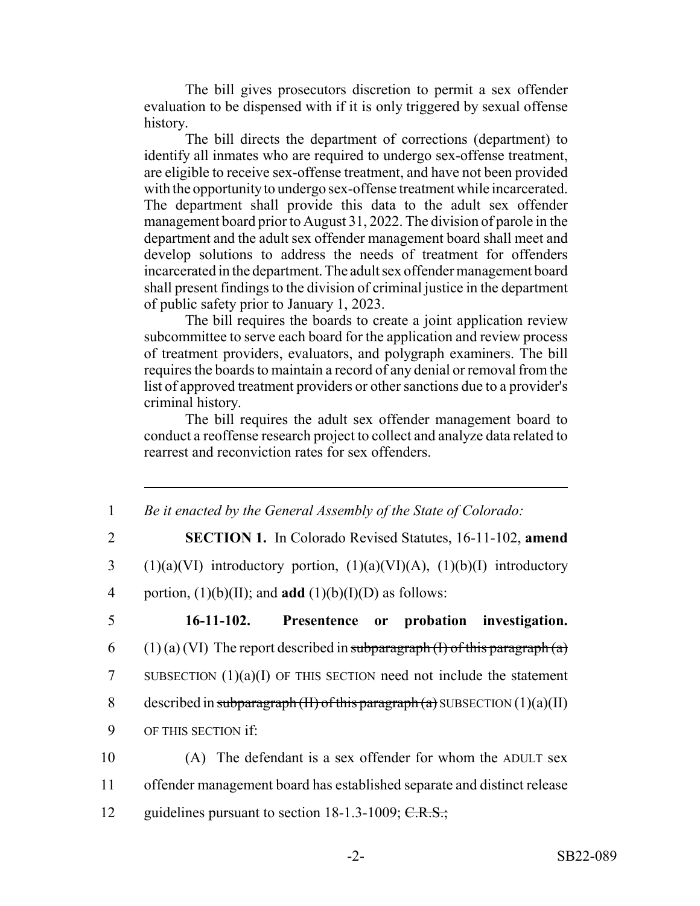The bill gives prosecutors discretion to permit a sex offender evaluation to be dispensed with if it is only triggered by sexual offense history.

The bill directs the department of corrections (department) to identify all inmates who are required to undergo sex-offense treatment, are eligible to receive sex-offense treatment, and have not been provided with the opportunity to undergo sex-offense treatment while incarcerated. The department shall provide this data to the adult sex offender management board prior to August 31, 2022. The division of parole in the department and the adult sex offender management board shall meet and develop solutions to address the needs of treatment for offenders incarcerated in the department. The adult sex offender management board shall present findings to the division of criminal justice in the department of public safety prior to January 1, 2023.

The bill requires the boards to create a joint application review subcommittee to serve each board for the application and review process of treatment providers, evaluators, and polygraph examiners. The bill requires the boards to maintain a record of any denial or removal from the list of approved treatment providers or other sanctions due to a provider's criminal history.

The bill requires the adult sex offender management board to conduct a reoffense research project to collect and analyze data related to rearrest and reconviction rates for sex offenders.

| $\mathbf{1}$   | Be it enacted by the General Assembly of the State of Colorado:                 |
|----------------|---------------------------------------------------------------------------------|
| $\overline{2}$ | <b>SECTION 1.</b> In Colorado Revised Statutes, 16-11-102, amend                |
| 3              | $(1)(a)(VI)$ introductory portion, $(1)(a)(VI)(A)$ , $(1)(b)(I)$ introductory   |
| $\overline{4}$ | portion, $(1)(b)(II)$ ; and <b>add</b> $(1)(b)(I)(D)$ as follows:               |
| 5              | 16-11-102. Presentence or probation investigation.                              |
| 6              | $(1)$ (a) (VI) The report described in subparagraph (I) of this paragraph (a)   |
| 7              | SUBSECTION $(1)(a)(I)$ OF THIS SECTION need not include the statement           |
| 8              | described in subparagraph $(H)$ of this paragraph $(a)$ SUBSECTION $(1)(a)(II)$ |
| 9              | OF THIS SECTION If:                                                             |
| 10             | (A) The defendant is a sex offender for whom the ADULT sex                      |
| 11             | offender management board has established separate and distinct release         |
| 12             | guidelines pursuant to section $18-1.3-1009$ ; C.R.S.;                          |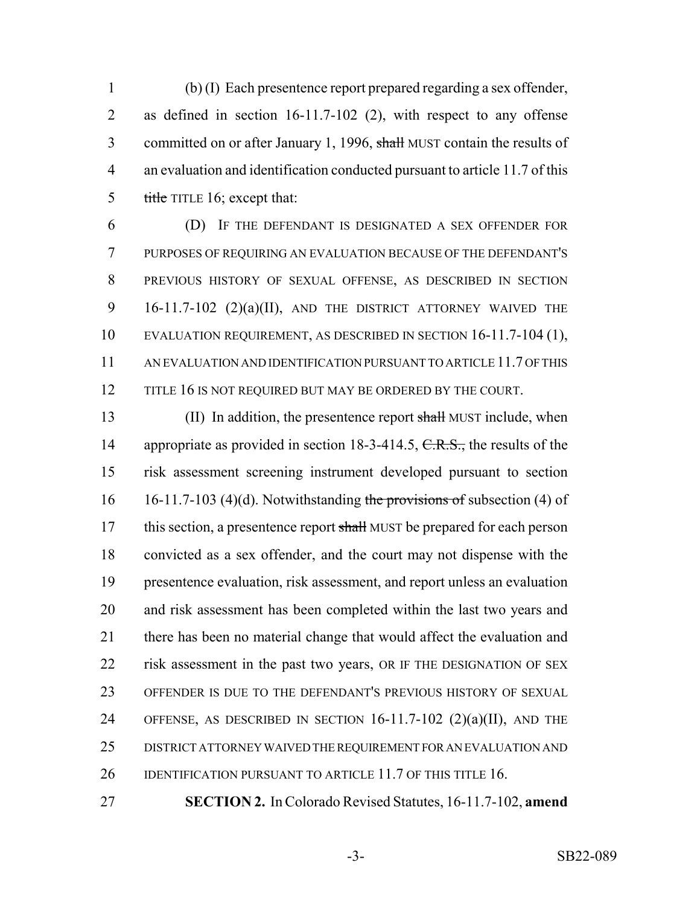(b) (I) Each presentence report prepared regarding a sex offender, as defined in section 16-11.7-102 (2), with respect to any offense 3 committed on or after January 1, 1996, shall MUST contain the results of an evaluation and identification conducted pursuant to article 11.7 of this title TITLE 16; except that:

 (D) IF THE DEFENDANT IS DESIGNATED A SEX OFFENDER FOR PURPOSES OF REQUIRING AN EVALUATION BECAUSE OF THE DEFENDANT'S PREVIOUS HISTORY OF SEXUAL OFFENSE, AS DESCRIBED IN SECTION 16-11.7-102 (2)(a)(II), AND THE DISTRICT ATTORNEY WAIVED THE EVALUATION REQUIREMENT, AS DESCRIBED IN SECTION 16-11.7-104 (1), AN EVALUATION AND IDENTIFICATION PURSUANT TO ARTICLE 11.7 OF THIS 12 TITLE 16 IS NOT REQUIRED BUT MAY BE ORDERED BY THE COURT.

13 (II) In addition, the presentence report shall MUST include, when 14 appropriate as provided in section 18-3-414.5, C.R.S., the results of the risk assessment screening instrument developed pursuant to section 16 16-11.7-103 (4)(d). Notwithstanding the provisions of subsection (4) of 17 this section, a presentence report shall MUST be prepared for each person convicted as a sex offender, and the court may not dispense with the presentence evaluation, risk assessment, and report unless an evaluation and risk assessment has been completed within the last two years and there has been no material change that would affect the evaluation and risk assessment in the past two years, OR IF THE DESIGNATION OF SEX OFFENDER IS DUE TO THE DEFENDANT'S PREVIOUS HISTORY OF SEXUAL OFFENSE, AS DESCRIBED IN SECTION 16-11.7-102 (2)(a)(II), AND THE DISTRICT ATTORNEY WAIVED THE REQUIREMENT FOR AN EVALUATION AND 26 IDENTIFICATION PURSUANT TO ARTICLE 11.7 OF THIS TITLE 16.

**SECTION 2.** In Colorado Revised Statutes, 16-11.7-102, **amend**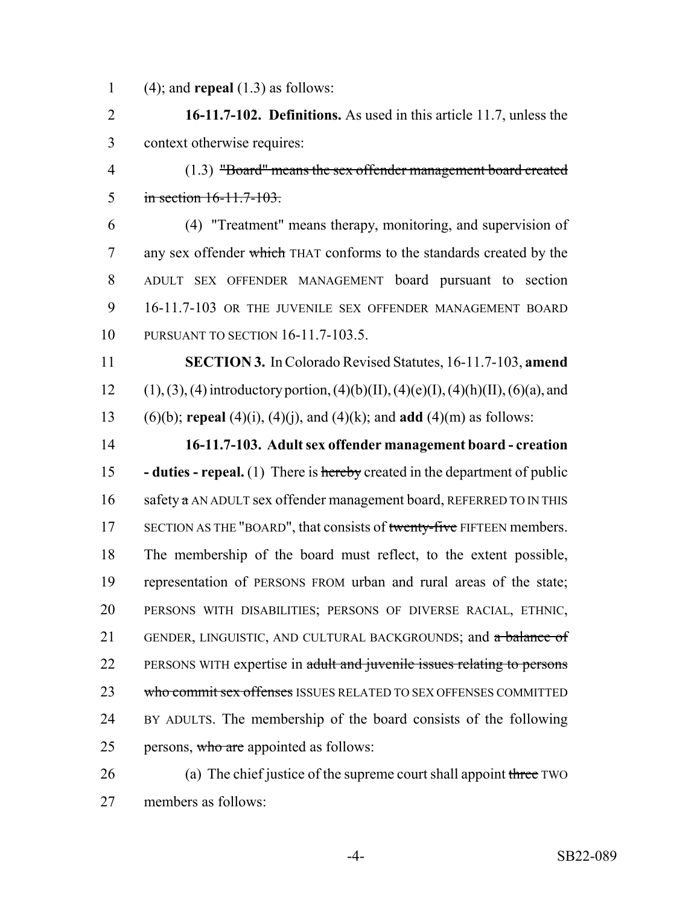(4); and **repeal** (1.3) as follows:

 **16-11.7-102. Definitions.** As used in this article 11.7, unless the context otherwise requires:

 (1.3) "Board" means the sex offender management board created in section 16-11.7-103.

 (4) "Treatment" means therapy, monitoring, and supervision of 7 any sex offender which THAT conforms to the standards created by the ADULT SEX OFFENDER MANAGEMENT board pursuant to section 16-11.7-103 OR THE JUVENILE SEX OFFENDER MANAGEMENT BOARD PURSUANT TO SECTION 16-11.7-103.5.

 **SECTION 3.** In Colorado Revised Statutes, 16-11.7-103, **amend** 12 (1), (3), (4) introductory portion, (4)(b)(II), (4)(e)(I), (4)(h)(II), (6)(a), and (6)(b); **repeal** (4)(i), (4)(j), and (4)(k); and **add** (4)(m) as follows:

 **16-11.7-103. Adult sex offender management board - creation - duties - repeal.** (1) There is hereby created in the department of public 16 safety  $\alpha$  AN ADULT sex offender management board, REFERRED TO IN THIS 17 SECTION AS THE "BOARD", that consists of twenty-five FIFTEEN members. The membership of the board must reflect, to the extent possible, representation of PERSONS FROM urban and rural areas of the state; PERSONS WITH DISABILITIES; PERSONS OF DIVERSE RACIAL, ETHNIC, 21 GENDER, LINGUISTIC, AND CULTURAL BACKGROUNDS; and a balance of 22 PERSONS WITH expertise in adult and juvenile issues relating to persons 23 who commit sex offenses ISSUES RELATED TO SEX OFFENSES COMMITTED BY ADULTS. The membership of the board consists of the following 25 persons, who are appointed as follows:

26 (a) The chief justice of the supreme court shall appoint three TWO members as follows: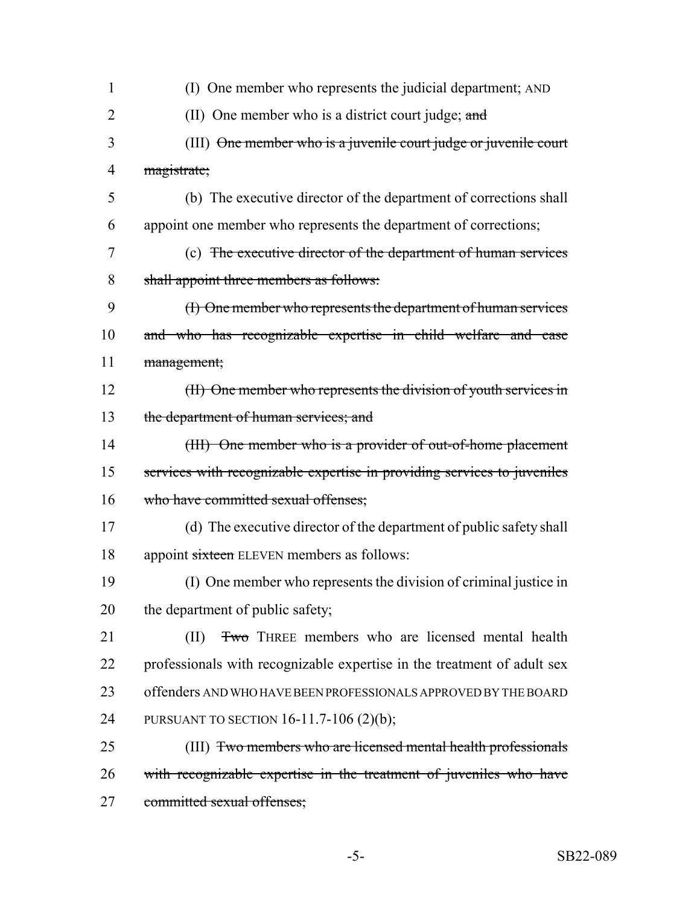| $\mathbf{1}$   | (I) One member who represents the judicial department; AND              |
|----------------|-------------------------------------------------------------------------|
| $\overline{2}$ | (II) One member who is a district court judge; and                      |
| 3              | (III) One member who is a juvenile court judge or juvenile court        |
| 4              | magistrate;                                                             |
| 5              | (b) The executive director of the department of corrections shall       |
| 6              | appoint one member who represents the department of corrections;        |
| 7              | (c) The executive director of the department of human services          |
| 8              | shall appoint three members as follows:                                 |
| 9              | (I) One member who represents the department of human services          |
| 10             | and who has recognizable expertise in child welfare and case            |
| 11             | management;                                                             |
| 12             | (II) One member who represents the division of youth services in        |
| 13             | the department of human services; and                                   |
| 14             | (III) One member who is a provider of out-of-home placement             |
| 15             | services with recognizable expertise in providing services to juveniles |
| 16             | who have committed sexual offenses;                                     |
| 17             | (d) The executive director of the department of public safety shall     |
| 18             | appoint sixteen ELEVEN members as follows:                              |
| 19             | (I) One member who represents the division of criminal justice in       |
| 20             | the department of public safety;                                        |
| 21             | <b>Two</b> THREE members who are licensed mental health<br>(II)         |
| 22             | professionals with recognizable expertise in the treatment of adult sex |
| 23             | offenders AND WHO HAVE BEEN PROFESSIONALS APPROVED BY THE BOARD         |
| 24             | PURSUANT TO SECTION 16-11.7-106 (2)(b);                                 |
| 25             | (III) Two members who are licensed mental health professionals          |
| 26             | with recognizable expertise in the treatment of juveniles who have      |
| 27             | committed sexual offenses;                                              |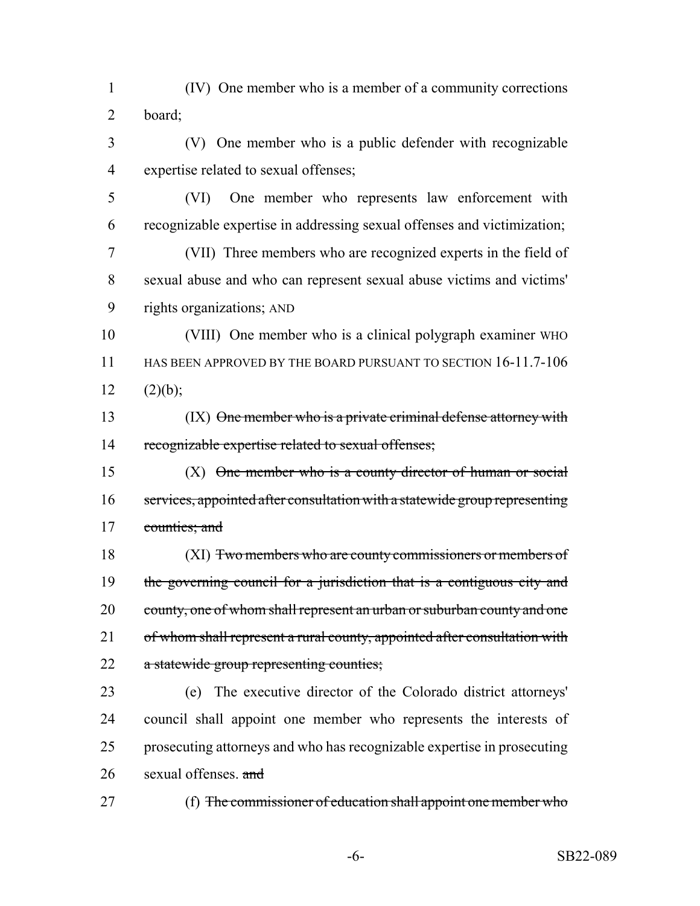(IV) One member who is a member of a community corrections board;

 (V) One member who is a public defender with recognizable expertise related to sexual offenses;

 (VI) One member who represents law enforcement with recognizable expertise in addressing sexual offenses and victimization;

 (VII) Three members who are recognized experts in the field of sexual abuse and who can represent sexual abuse victims and victims' rights organizations; AND

 (VIII) One member who is a clinical polygraph examiner WHO HAS BEEN APPROVED BY THE BOARD PURSUANT TO SECTION 16-11.7-106 12  $(2)(b)$ ;

13 (IX) One member who is a private criminal defense attorney with recognizable expertise related to sexual offenses;

 (X) One member who is a county director of human or social services, appointed after consultation with a statewide group representing 17 counties; and

 (XI) Two members who are county commissioners or members of 19 the governing council for a jurisdiction that is a contiguous city and 20 county, one of whom shall represent an urban or suburban county and one 21 of whom shall represent a rural county, appointed after consultation with 22 a statewide group representing counties;

 (e) The executive director of the Colorado district attorneys' council shall appoint one member who represents the interests of prosecuting attorneys and who has recognizable expertise in prosecuting 26 sexual offenses.  $\frac{and}{end}$ 

27 (f) The commissioner of education shall appoint one member who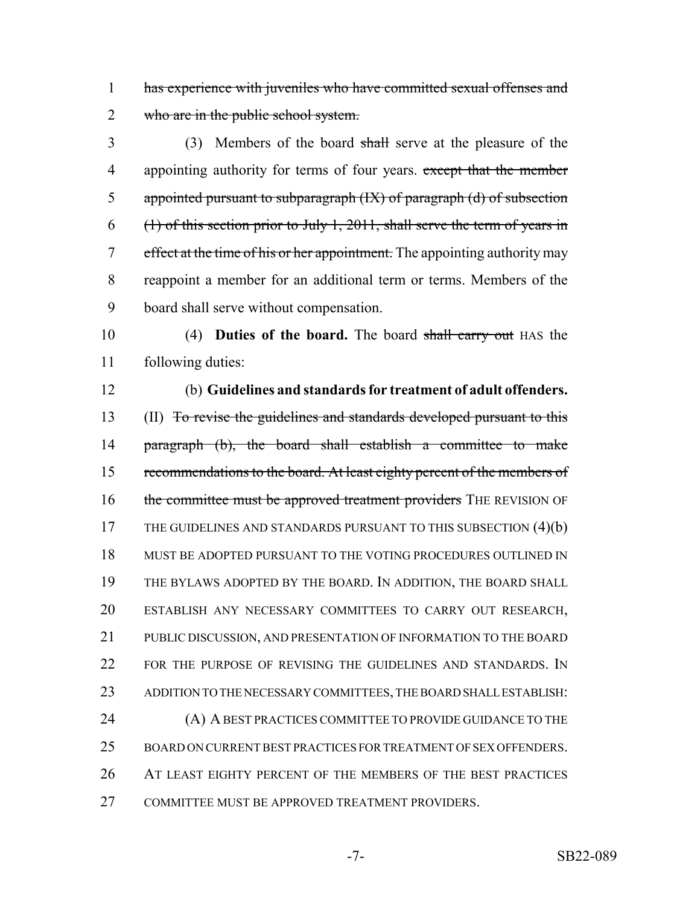1 has experience with juveniles who have committed sexual offenses and 2 who are in the public school system.

3 (3) Members of the board shall serve at the pleasure of the 4 appointing authority for terms of four years. except that the member 5 appointed pursuant to subparagraph (IX) of paragraph (d) of subsection  $6$  (1) of this section prior to July 1, 2011, shall serve the term of years in 7 effect at the time of his or her appointment. The appointing authority may 8 reappoint a member for an additional term or terms. Members of the 9 board shall serve without compensation.

10 (4) **Duties of the board.** The board shall carry out HAS the 11 following duties:

12 (b) **Guidelines and standards for treatment of adult offenders.**

13 (II) To revise the guidelines and standards developed pursuant to this 14 paragraph (b), the board shall establish a committee to make 15 recommendations to the board. At least eighty percent of the members of 16 the committee must be approved treatment providers THE REVISION OF 17 THE GUIDELINES AND STANDARDS PURSUANT TO THIS SUBSECTION (4)(b) 18 MUST BE ADOPTED PURSUANT TO THE VOTING PROCEDURES OUTLINED IN 19 THE BYLAWS ADOPTED BY THE BOARD. IN ADDITION, THE BOARD SHALL 20 ESTABLISH ANY NECESSARY COMMITTEES TO CARRY OUT RESEARCH, 21 PUBLIC DISCUSSION, AND PRESENTATION OF INFORMATION TO THE BOARD 22 FOR THE PURPOSE OF REVISING THE GUIDELINES AND STANDARDS. IN 23 ADDITION TO THE NECESSARY COMMITTEES, THE BOARD SHALL ESTABLISH: 24 (A) A BEST PRACTICES COMMITTEE TO PROVIDE GUIDANCE TO THE 25 BOARD ON CURRENT BEST PRACTICES FOR TREATMENT OF SEX OFFENDERS.

26 AT LEAST EIGHTY PERCENT OF THE MEMBERS OF THE BEST PRACTICES 27 COMMITTEE MUST BE APPROVED TREATMENT PROVIDERS.

-7- SB22-089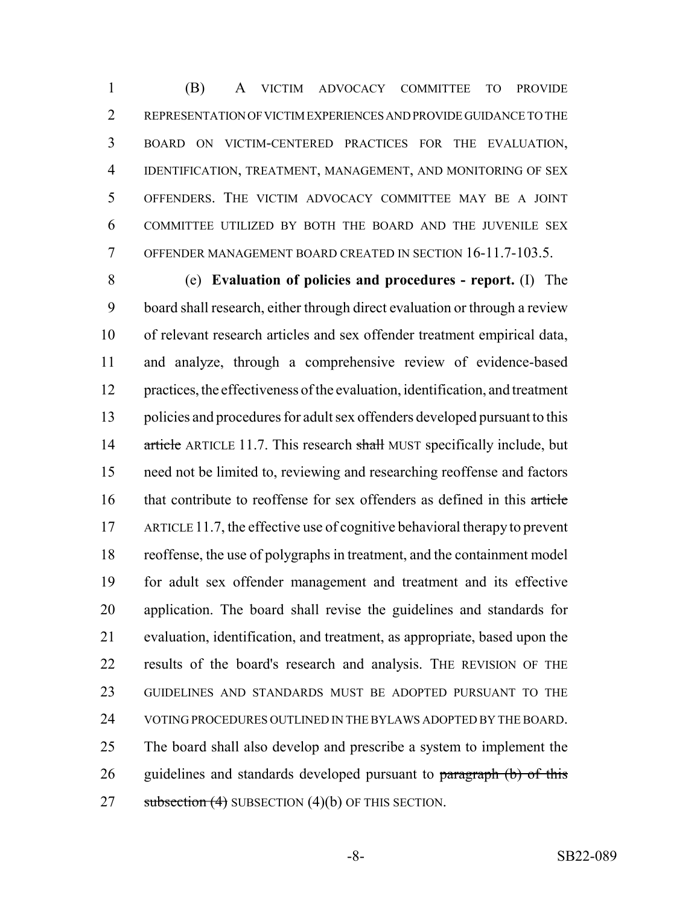(B) A VICTIM ADVOCACY COMMITTEE TO PROVIDE REPRESENTATION OF VICTIM EXPERIENCES AND PROVIDE GUIDANCE TO THE BOARD ON VICTIM-CENTERED PRACTICES FOR THE EVALUATION, IDENTIFICATION, TREATMENT, MANAGEMENT, AND MONITORING OF SEX OFFENDERS. THE VICTIM ADVOCACY COMMITTEE MAY BE A JOINT COMMITTEE UTILIZED BY BOTH THE BOARD AND THE JUVENILE SEX OFFENDER MANAGEMENT BOARD CREATED IN SECTION 16-11.7-103.5.

 (e) **Evaluation of policies and procedures - report.** (I) The board shall research, either through direct evaluation or through a review of relevant research articles and sex offender treatment empirical data, and analyze, through a comprehensive review of evidence-based practices, the effectiveness of the evaluation, identification, and treatment policies and procedures for adult sex offenders developed pursuant to this 14 article ARTICLE 11.7. This research shall MUST specifically include, but need not be limited to, reviewing and researching reoffense and factors 16 that contribute to reoffense for sex offenders as defined in this article ARTICLE 11.7, the effective use of cognitive behavioral therapy to prevent reoffense, the use of polygraphs in treatment, and the containment model for adult sex offender management and treatment and its effective application. The board shall revise the guidelines and standards for evaluation, identification, and treatment, as appropriate, based upon the results of the board's research and analysis. THE REVISION OF THE GUIDELINES AND STANDARDS MUST BE ADOPTED PURSUANT TO THE VOTING PROCEDURES OUTLINED IN THE BYLAWS ADOPTED BY THE BOARD. The board shall also develop and prescribe a system to implement the 26 guidelines and standards developed pursuant to paragraph (b) of this 27 subsection  $(4)$  SUBSECTION  $(4)(b)$  OF THIS SECTION.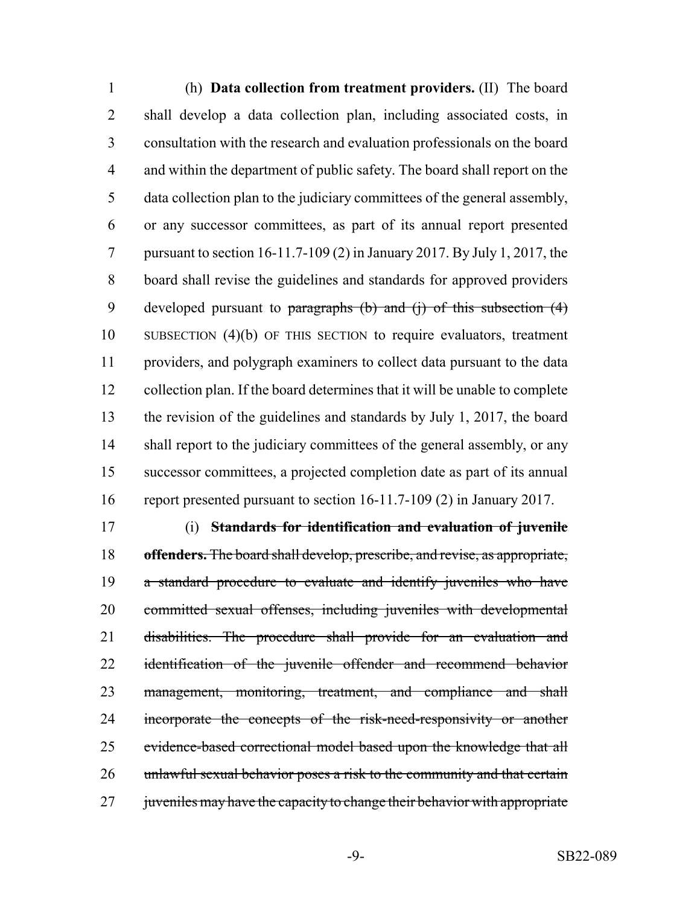(h) **Data collection from treatment providers.** (II) The board shall develop a data collection plan, including associated costs, in consultation with the research and evaluation professionals on the board and within the department of public safety. The board shall report on the data collection plan to the judiciary committees of the general assembly, or any successor committees, as part of its annual report presented pursuant to section 16-11.7-109 (2) in January 2017. By July 1, 2017, the board shall revise the guidelines and standards for approved providers 9 developed pursuant to paragraphs (b) and (j) of this subsection (4) SUBSECTION (4)(b) OF THIS SECTION to require evaluators, treatment providers, and polygraph examiners to collect data pursuant to the data collection plan. If the board determines that it will be unable to complete the revision of the guidelines and standards by July 1, 2017, the board 14 shall report to the judiciary committees of the general assembly, or any successor committees, a projected completion date as part of its annual report presented pursuant to section 16-11.7-109 (2) in January 2017.

 (i) **Standards for identification and evaluation of juvenile offenders.** The board shall develop, prescribe, and revise, as appropriate, a standard procedure to evaluate and identify juveniles who have committed sexual offenses, including juveniles with developmental disabilities. The procedure shall provide for an evaluation and 22 identification of the juvenile offender and recommend behavior 23 management, monitoring, treatment, and compliance and shall 24 incorporate the concepts of the risk-need-responsivity or another 25 evidence-based correctional model based upon the knowledge that all 26 unlawful sexual behavior poses a risk to the community and that certain 27 juveniles may have the capacity to change their behavior with appropriate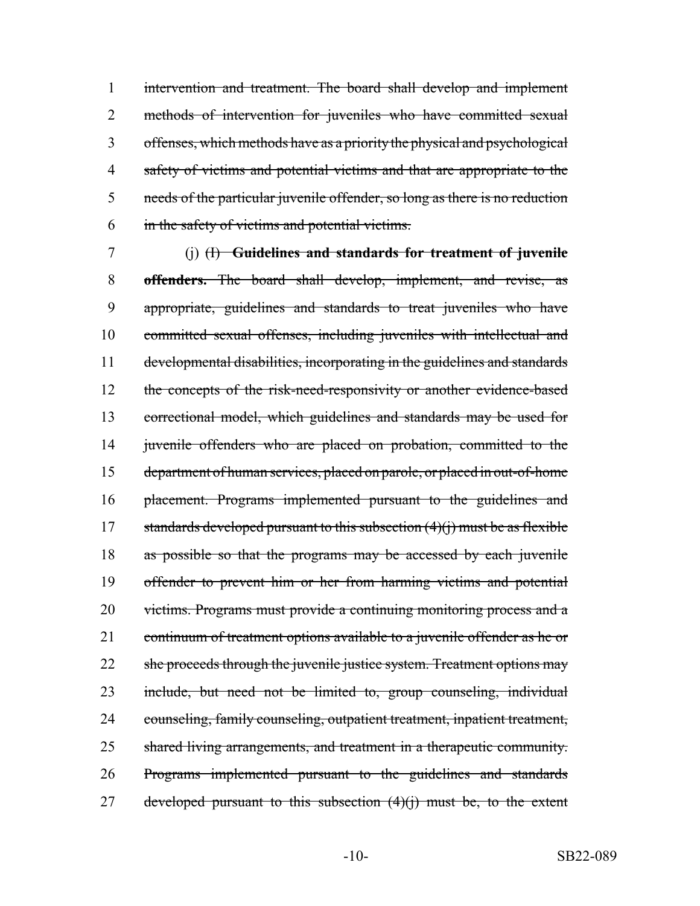intervention and treatment. The board shall develop and implement methods of intervention for juveniles who have committed sexual offenses, which methods have as a priority the physical and psychological safety of victims and potential victims and that are appropriate to the needs of the particular juvenile offender, so long as there is no reduction in the safety of victims and potential victims.

 (j) (I) **Guidelines and standards for treatment of juvenile offenders.** The board shall develop, implement, and revise, as appropriate, guidelines and standards to treat juveniles who have committed sexual offenses, including juveniles with intellectual and developmental disabilities, incorporating in the guidelines and standards 12 the concepts of the risk-need-responsivity or another evidence-based correctional model, which guidelines and standards may be used for 14 juvenile offenders who are placed on probation, committed to the department of human services, placed on parole, or placed in out-of-home placement. Programs implemented pursuant to the guidelines and 17 standards developed pursuant to this subsection  $(4)(i)$  must be as flexible 18 as possible so that the programs may be accessed by each juvenile offender to prevent him or her from harming victims and potential 20 victims. Programs must provide a continuing monitoring process and a 21 continuum of treatment options available to a juvenile offender as he or 22 she proceeds through the juvenile justice system. Treatment options may include, but need not be limited to, group counseling, individual counseling, family counseling, outpatient treatment, inpatient treatment, shared living arrangements, and treatment in a therapeutic community. Programs implemented pursuant to the guidelines and standards 27 developed pursuant to this subsection  $(4)(i)$  must be, to the extent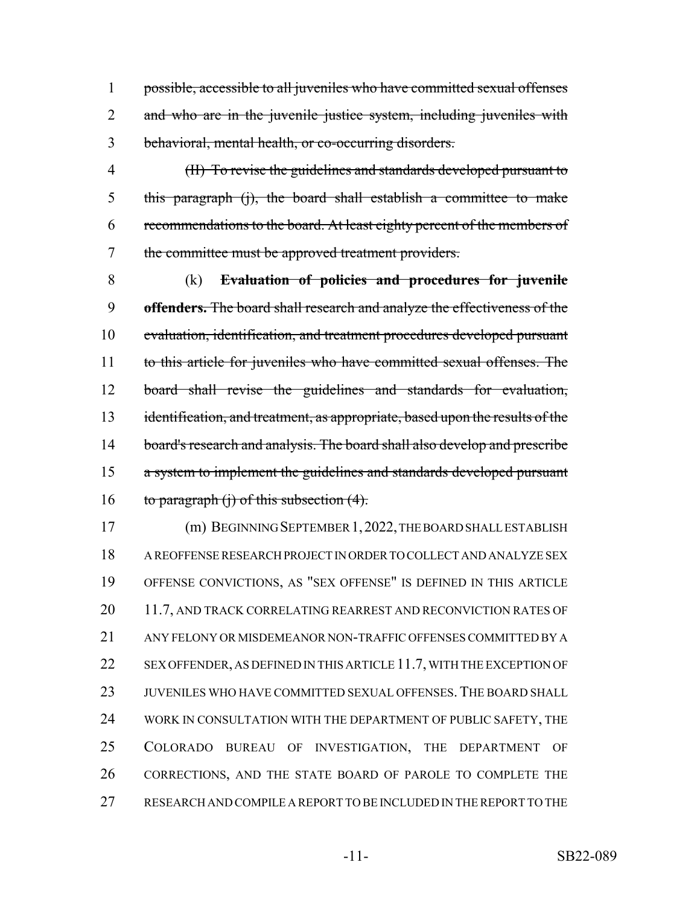possible, accessible to all juveniles who have committed sexual offenses 2 and who are in the juvenile justice system, including juveniles with behavioral, mental health, or co-occurring disorders.

 (II) To revise the guidelines and standards developed pursuant to this paragraph (j), the board shall establish a committee to make recommendations to the board. At least eighty percent of the members of the committee must be approved treatment providers.

 (k) **Evaluation of policies and procedures for juvenile offenders.** The board shall research and analyze the effectiveness of the 10 evaluation, identification, and treatment procedures developed pursuant to this article for juveniles who have committed sexual offenses. The board shall revise the guidelines and standards for evaluation, 13 identification, and treatment, as appropriate, based upon the results of the 14 board's research and analysis. The board shall also develop and prescribe 15 a system to implement the guidelines and standards developed pursuant 16 to paragraph  $(i)$  of this subsection  $(4)$ .

 (m) BEGINNING SEPTEMBER 1,2022, THE BOARD SHALL ESTABLISH A REOFFENSE RESEARCH PROJECT IN ORDER TO COLLECT AND ANALYZE SEX OFFENSE CONVICTIONS, AS "SEX OFFENSE" IS DEFINED IN THIS ARTICLE 20 11.7, AND TRACK CORRELATING REARREST AND RECONVICTION RATES OF ANY FELONY OR MISDEMEANOR NON-TRAFFIC OFFENSES COMMITTED BY A 22 SEX OFFENDER, AS DEFINED IN THIS ARTICLE 11.7, WITH THE EXCEPTION OF JUVENILES WHO HAVE COMMITTED SEXUAL OFFENSES.THE BOARD SHALL 24 WORK IN CONSULTATION WITH THE DEPARTMENT OF PUBLIC SAFETY, THE COLORADO BUREAU OF INVESTIGATION, THE DEPARTMENT OF CORRECTIONS, AND THE STATE BOARD OF PAROLE TO COMPLETE THE RESEARCH AND COMPILE A REPORT TO BE INCLUDED IN THE REPORT TO THE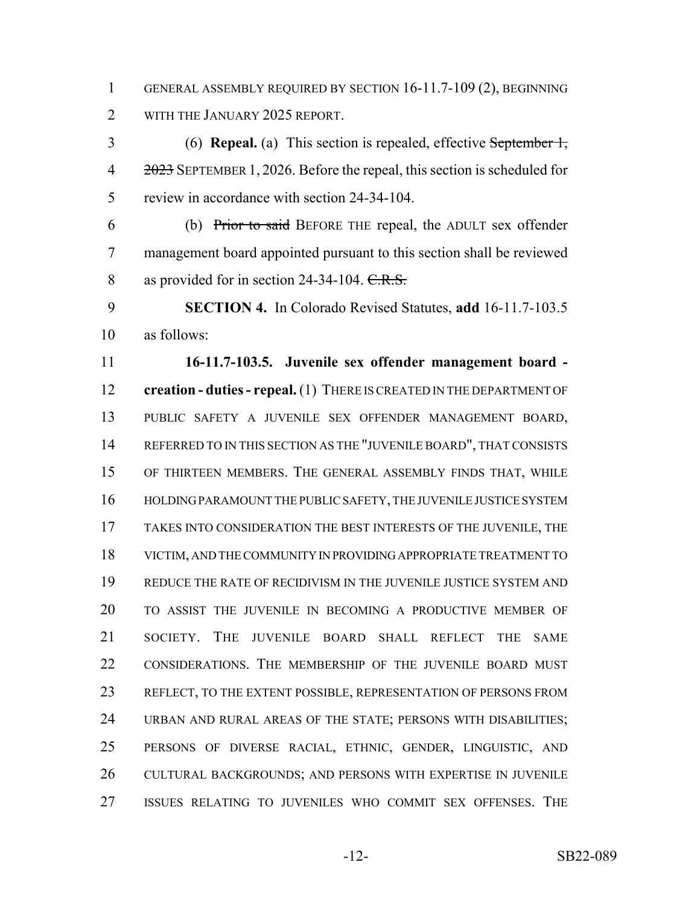GENERAL ASSEMBLY REQUIRED BY SECTION 16-11.7-109 (2), BEGINNING 2 WITH THE JANUARY 2025 REPORT.

 (6) **Repeal.** (a) This section is repealed, effective September 1, 4 2023 SEPTEMBER 1, 2026. Before the repeal, this section is scheduled for review in accordance with section 24-34-104.

 (b) Prior to said BEFORE THE repeal, the ADULT sex offender management board appointed pursuant to this section shall be reviewed 8 as provided for in section 24-34-104. C.R.S.

 **SECTION 4.** In Colorado Revised Statutes, **add** 16-11.7-103.5 as follows:

 **16-11.7-103.5. Juvenile sex offender management board - creation - duties - repeal.** (1) THERE IS CREATED IN THE DEPARTMENT OF PUBLIC SAFETY A JUVENILE SEX OFFENDER MANAGEMENT BOARD, REFERRED TO IN THIS SECTION AS THE "JUVENILE BOARD", THAT CONSISTS OF THIRTEEN MEMBERS. THE GENERAL ASSEMBLY FINDS THAT, WHILE HOLDING PARAMOUNT THE PUBLIC SAFETY, THE JUVENILE JUSTICE SYSTEM TAKES INTO CONSIDERATION THE BEST INTERESTS OF THE JUVENILE, THE VICTIM, AND THE COMMUNITY IN PROVIDING APPROPRIATE TREATMENT TO REDUCE THE RATE OF RECIDIVISM IN THE JUVENILE JUSTICE SYSTEM AND TO ASSIST THE JUVENILE IN BECOMING A PRODUCTIVE MEMBER OF SOCIETY. THE JUVENILE BOARD SHALL REFLECT THE SAME 22 CONSIDERATIONS. THE MEMBERSHIP OF THE JUVENILE BOARD MUST REFLECT, TO THE EXTENT POSSIBLE, REPRESENTATION OF PERSONS FROM URBAN AND RURAL AREAS OF THE STATE; PERSONS WITH DISABILITIES; PERSONS OF DIVERSE RACIAL, ETHNIC, GENDER, LINGUISTIC, AND CULTURAL BACKGROUNDS; AND PERSONS WITH EXPERTISE IN JUVENILE ISSUES RELATING TO JUVENILES WHO COMMIT SEX OFFENSES. THE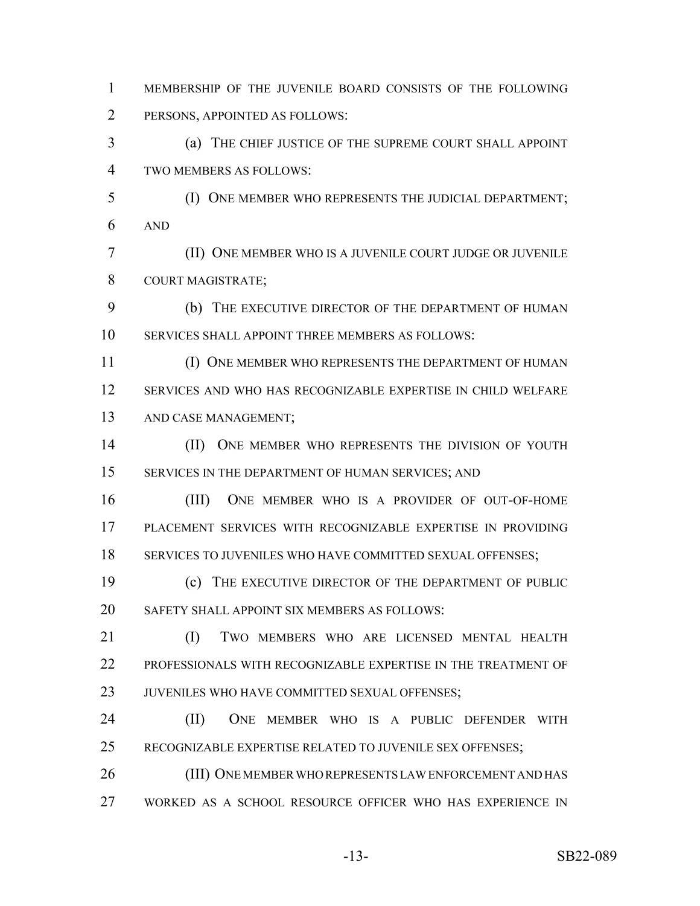MEMBERSHIP OF THE JUVENILE BOARD CONSISTS OF THE FOLLOWING PERSONS, APPOINTED AS FOLLOWS:

 (a) THE CHIEF JUSTICE OF THE SUPREME COURT SHALL APPOINT TWO MEMBERS AS FOLLOWS:

 (I) ONE MEMBER WHO REPRESENTS THE JUDICIAL DEPARTMENT; AND

 (II) ONE MEMBER WHO IS A JUVENILE COURT JUDGE OR JUVENILE COURT MAGISTRATE;

 (b) THE EXECUTIVE DIRECTOR OF THE DEPARTMENT OF HUMAN SERVICES SHALL APPOINT THREE MEMBERS AS FOLLOWS:

11 (I) ONE MEMBER WHO REPRESENTS THE DEPARTMENT OF HUMAN SERVICES AND WHO HAS RECOGNIZABLE EXPERTISE IN CHILD WELFARE AND CASE MANAGEMENT;

14 (II) ONE MEMBER WHO REPRESENTS THE DIVISION OF YOUTH 15 SERVICES IN THE DEPARTMENT OF HUMAN SERVICES; AND

 (III) ONE MEMBER WHO IS A PROVIDER OF OUT-OF-HOME PLACEMENT SERVICES WITH RECOGNIZABLE EXPERTISE IN PROVIDING SERVICES TO JUVENILES WHO HAVE COMMITTED SEXUAL OFFENSES;

 (c) THE EXECUTIVE DIRECTOR OF THE DEPARTMENT OF PUBLIC SAFETY SHALL APPOINT SIX MEMBERS AS FOLLOWS:

 (I) TWO MEMBERS WHO ARE LICENSED MENTAL HEALTH PROFESSIONALS WITH RECOGNIZABLE EXPERTISE IN THE TREATMENT OF JUVENILES WHO HAVE COMMITTED SEXUAL OFFENSES;

 (II) ONE MEMBER WHO IS A PUBLIC DEFENDER WITH RECOGNIZABLE EXPERTISE RELATED TO JUVENILE SEX OFFENSES;

 (III) ONE MEMBER WHO REPRESENTS LAW ENFORCEMENT AND HAS WORKED AS A SCHOOL RESOURCE OFFICER WHO HAS EXPERIENCE IN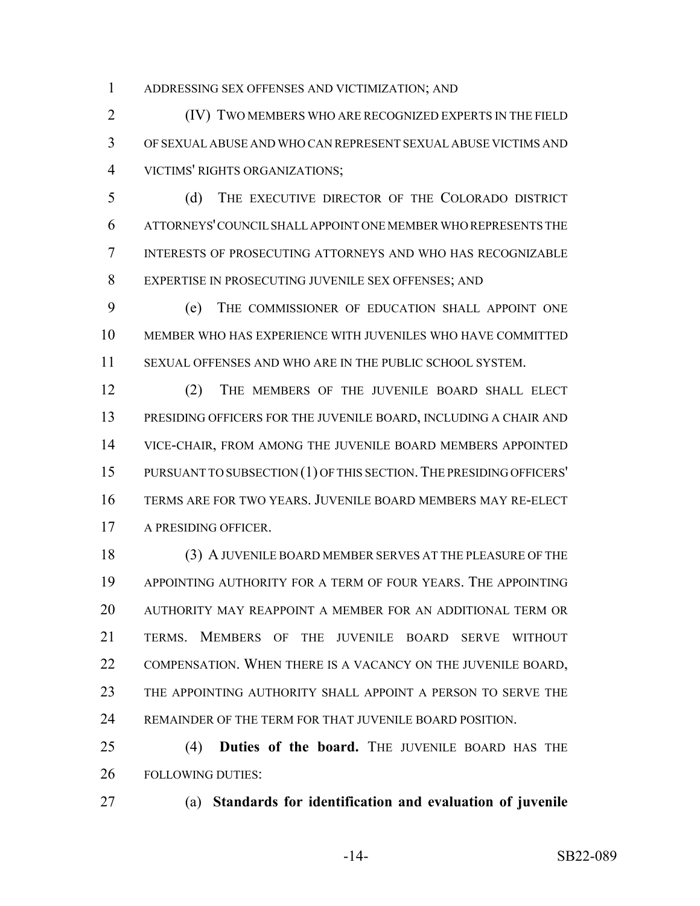ADDRESSING SEX OFFENSES AND VICTIMIZATION; AND

 (IV) TWO MEMBERS WHO ARE RECOGNIZED EXPERTS IN THE FIELD OF SEXUAL ABUSE AND WHO CAN REPRESENT SEXUAL ABUSE VICTIMS AND VICTIMS' RIGHTS ORGANIZATIONS;

 (d) THE EXECUTIVE DIRECTOR OF THE COLORADO DISTRICT ATTORNEYS' COUNCIL SHALL APPOINT ONE MEMBER WHO REPRESENTS THE INTERESTS OF PROSECUTING ATTORNEYS AND WHO HAS RECOGNIZABLE EXPERTISE IN PROSECUTING JUVENILE SEX OFFENSES; AND

 (e) THE COMMISSIONER OF EDUCATION SHALL APPOINT ONE MEMBER WHO HAS EXPERIENCE WITH JUVENILES WHO HAVE COMMITTED SEXUAL OFFENSES AND WHO ARE IN THE PUBLIC SCHOOL SYSTEM.

 (2) THE MEMBERS OF THE JUVENILE BOARD SHALL ELECT PRESIDING OFFICERS FOR THE JUVENILE BOARD, INCLUDING A CHAIR AND VICE-CHAIR, FROM AMONG THE JUVENILE BOARD MEMBERS APPOINTED PURSUANT TO SUBSECTION (1) OF THIS SECTION.THE PRESIDING OFFICERS' TERMS ARE FOR TWO YEARS. JUVENILE BOARD MEMBERS MAY RE-ELECT A PRESIDING OFFICER.

 (3) A JUVENILE BOARD MEMBER SERVES AT THE PLEASURE OF THE APPOINTING AUTHORITY FOR A TERM OF FOUR YEARS. THE APPOINTING AUTHORITY MAY REAPPOINT A MEMBER FOR AN ADDITIONAL TERM OR TERMS. MEMBERS OF THE JUVENILE BOARD SERVE WITHOUT 22 COMPENSATION. WHEN THERE IS A VACANCY ON THE JUVENILE BOARD, THE APPOINTING AUTHORITY SHALL APPOINT A PERSON TO SERVE THE REMAINDER OF THE TERM FOR THAT JUVENILE BOARD POSITION.

 (4) **Duties of the board.** THE JUVENILE BOARD HAS THE FOLLOWING DUTIES:

(a) **Standards for identification and evaluation of juvenile**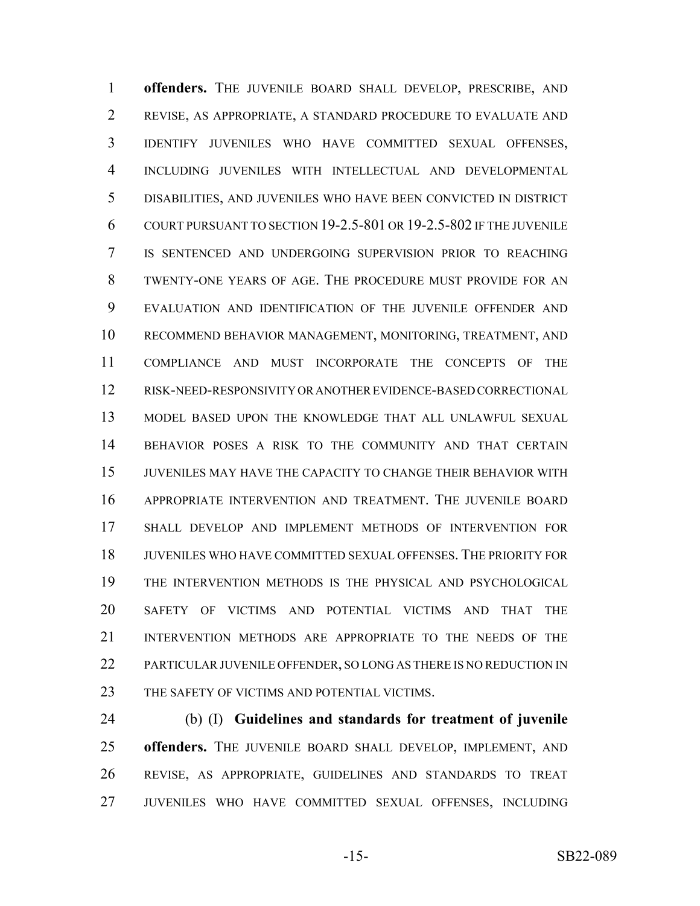**offenders.** THE JUVENILE BOARD SHALL DEVELOP, PRESCRIBE, AND REVISE, AS APPROPRIATE, A STANDARD PROCEDURE TO EVALUATE AND IDENTIFY JUVENILES WHO HAVE COMMITTED SEXUAL OFFENSES, INCLUDING JUVENILES WITH INTELLECTUAL AND DEVELOPMENTAL DISABILITIES, AND JUVENILES WHO HAVE BEEN CONVICTED IN DISTRICT COURT PURSUANT TO SECTION 19-2.5-801 OR 19-2.5-802 IF THE JUVENILE IS SENTENCED AND UNDERGOING SUPERVISION PRIOR TO REACHING TWENTY-ONE YEARS OF AGE. THE PROCEDURE MUST PROVIDE FOR AN EVALUATION AND IDENTIFICATION OF THE JUVENILE OFFENDER AND RECOMMEND BEHAVIOR MANAGEMENT, MONITORING, TREATMENT, AND COMPLIANCE AND MUST INCORPORATE THE CONCEPTS OF THE RISK-NEED-RESPONSIVITY OR ANOTHER EVIDENCE-BASED CORRECTIONAL MODEL BASED UPON THE KNOWLEDGE THAT ALL UNLAWFUL SEXUAL BEHAVIOR POSES A RISK TO THE COMMUNITY AND THAT CERTAIN JUVENILES MAY HAVE THE CAPACITY TO CHANGE THEIR BEHAVIOR WITH APPROPRIATE INTERVENTION AND TREATMENT. THE JUVENILE BOARD SHALL DEVELOP AND IMPLEMENT METHODS OF INTERVENTION FOR JUVENILES WHO HAVE COMMITTED SEXUAL OFFENSES. THE PRIORITY FOR THE INTERVENTION METHODS IS THE PHYSICAL AND PSYCHOLOGICAL SAFETY OF VICTIMS AND POTENTIAL VICTIMS AND THAT THE INTERVENTION METHODS ARE APPROPRIATE TO THE NEEDS OF THE PARTICULAR JUVENILE OFFENDER, SO LONG AS THERE IS NO REDUCTION IN 23 THE SAFETY OF VICTIMS AND POTENTIAL VICTIMS.

 (b) (I) **Guidelines and standards for treatment of juvenile offenders.** THE JUVENILE BOARD SHALL DEVELOP, IMPLEMENT, AND REVISE, AS APPROPRIATE, GUIDELINES AND STANDARDS TO TREAT JUVENILES WHO HAVE COMMITTED SEXUAL OFFENSES, INCLUDING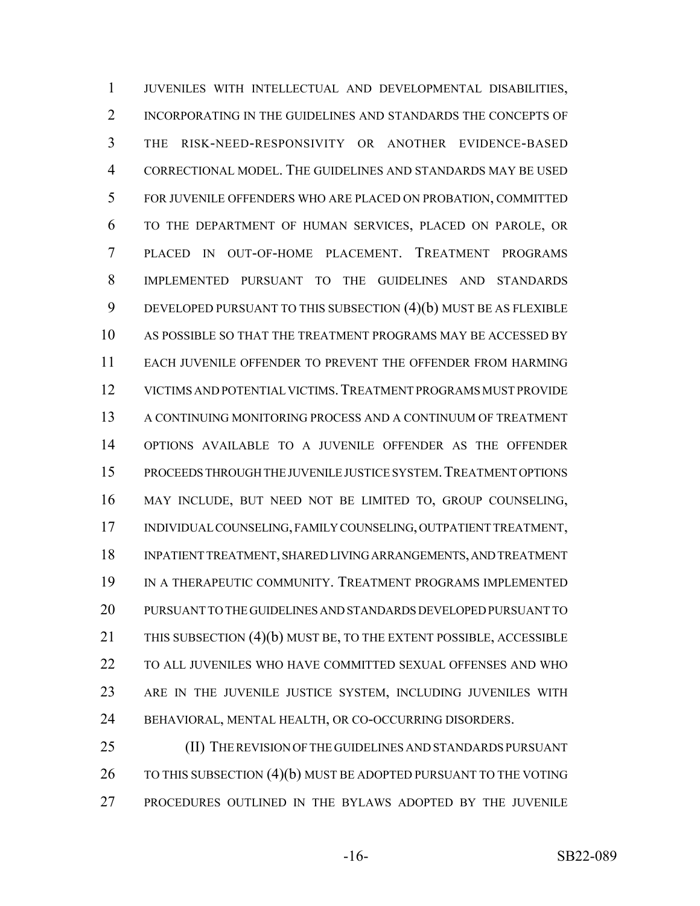JUVENILES WITH INTELLECTUAL AND DEVELOPMENTAL DISABILITIES, 2 INCORPORATING IN THE GUIDELINES AND STANDARDS THE CONCEPTS OF THE RISK-NEED-RESPONSIVITY OR ANOTHER EVIDENCE-BASED CORRECTIONAL MODEL. THE GUIDELINES AND STANDARDS MAY BE USED FOR JUVENILE OFFENDERS WHO ARE PLACED ON PROBATION, COMMITTED TO THE DEPARTMENT OF HUMAN SERVICES, PLACED ON PAROLE, OR PLACED IN OUT-OF-HOME PLACEMENT. TREATMENT PROGRAMS IMPLEMENTED PURSUANT TO THE GUIDELINES AND STANDARDS DEVELOPED PURSUANT TO THIS SUBSECTION (4)(b) MUST BE AS FLEXIBLE AS POSSIBLE SO THAT THE TREATMENT PROGRAMS MAY BE ACCESSED BY EACH JUVENILE OFFENDER TO PREVENT THE OFFENDER FROM HARMING VICTIMS AND POTENTIAL VICTIMS.TREATMENT PROGRAMS MUST PROVIDE A CONTINUING MONITORING PROCESS AND A CONTINUUM OF TREATMENT OPTIONS AVAILABLE TO A JUVENILE OFFENDER AS THE OFFENDER PROCEEDS THROUGH THE JUVENILE JUSTICE SYSTEM.TREATMENT OPTIONS MAY INCLUDE, BUT NEED NOT BE LIMITED TO, GROUP COUNSELING, INDIVIDUAL COUNSELING, FAMILY COUNSELING, OUTPATIENT TREATMENT, INPATIENT TREATMENT, SHARED LIVING ARRANGEMENTS, AND TREATMENT IN A THERAPEUTIC COMMUNITY. TREATMENT PROGRAMS IMPLEMENTED PURSUANT TO THE GUIDELINES AND STANDARDS DEVELOPED PURSUANT TO THIS SUBSECTION (4)(b) MUST BE, TO THE EXTENT POSSIBLE, ACCESSIBLE TO ALL JUVENILES WHO HAVE COMMITTED SEXUAL OFFENSES AND WHO ARE IN THE JUVENILE JUSTICE SYSTEM, INCLUDING JUVENILES WITH BEHAVIORAL, MENTAL HEALTH, OR CO-OCCURRING DISORDERS.

 (II) THE REVISION OF THE GUIDELINES AND STANDARDS PURSUANT 26 TO THIS SUBSECTION (4)(b) MUST BE ADOPTED PURSUANT TO THE VOTING PROCEDURES OUTLINED IN THE BYLAWS ADOPTED BY THE JUVENILE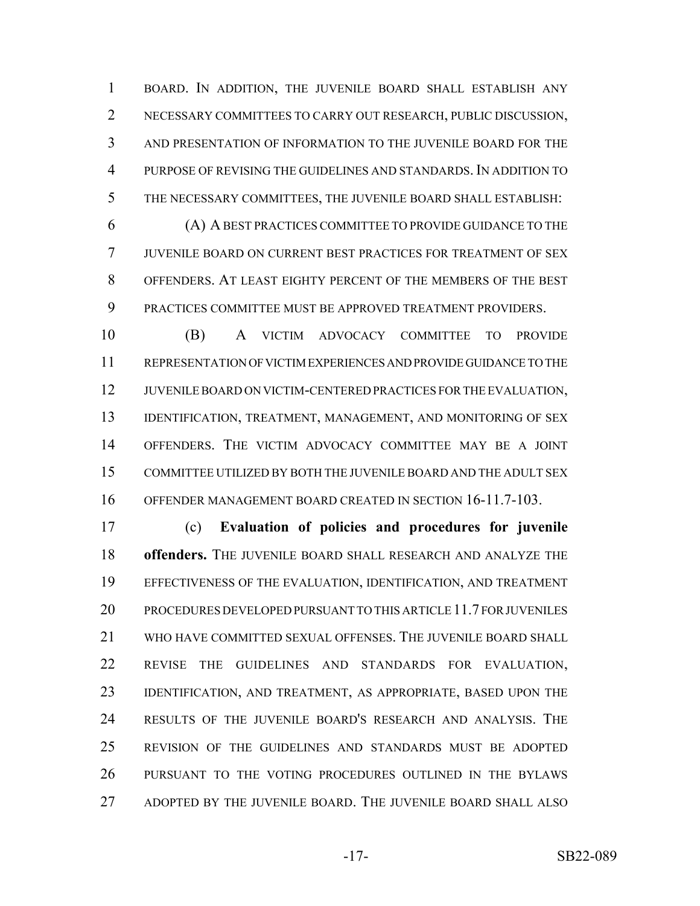BOARD. IN ADDITION, THE JUVENILE BOARD SHALL ESTABLISH ANY NECESSARY COMMITTEES TO CARRY OUT RESEARCH, PUBLIC DISCUSSION, AND PRESENTATION OF INFORMATION TO THE JUVENILE BOARD FOR THE PURPOSE OF REVISING THE GUIDELINES AND STANDARDS. IN ADDITION TO THE NECESSARY COMMITTEES, THE JUVENILE BOARD SHALL ESTABLISH:

 (A) A BEST PRACTICES COMMITTEE TO PROVIDE GUIDANCE TO THE JUVENILE BOARD ON CURRENT BEST PRACTICES FOR TREATMENT OF SEX OFFENDERS. AT LEAST EIGHTY PERCENT OF THE MEMBERS OF THE BEST PRACTICES COMMITTEE MUST BE APPROVED TREATMENT PROVIDERS.

 (B) A VICTIM ADVOCACY COMMITTEE TO PROVIDE REPRESENTATION OF VICTIM EXPERIENCES AND PROVIDE GUIDANCE TO THE JUVENILE BOARD ON VICTIM-CENTERED PRACTICES FOR THE EVALUATION, 13 IDENTIFICATION, TREATMENT, MANAGEMENT, AND MONITORING OF SEX OFFENDERS. THE VICTIM ADVOCACY COMMITTEE MAY BE A JOINT COMMITTEE UTILIZED BY BOTH THE JUVENILE BOARD AND THE ADULT SEX OFFENDER MANAGEMENT BOARD CREATED IN SECTION 16-11.7-103.

 (c) **Evaluation of policies and procedures for juvenile offenders.** THE JUVENILE BOARD SHALL RESEARCH AND ANALYZE THE EFFECTIVENESS OF THE EVALUATION, IDENTIFICATION, AND TREATMENT PROCEDURES DEVELOPED PURSUANT TO THIS ARTICLE 11.7 FOR JUVENILES WHO HAVE COMMITTED SEXUAL OFFENSES. THE JUVENILE BOARD SHALL REVISE THE GUIDELINES AND STANDARDS FOR EVALUATION, IDENTIFICATION, AND TREATMENT, AS APPROPRIATE, BASED UPON THE RESULTS OF THE JUVENILE BOARD'S RESEARCH AND ANALYSIS. THE REVISION OF THE GUIDELINES AND STANDARDS MUST BE ADOPTED PURSUANT TO THE VOTING PROCEDURES OUTLINED IN THE BYLAWS ADOPTED BY THE JUVENILE BOARD. THE JUVENILE BOARD SHALL ALSO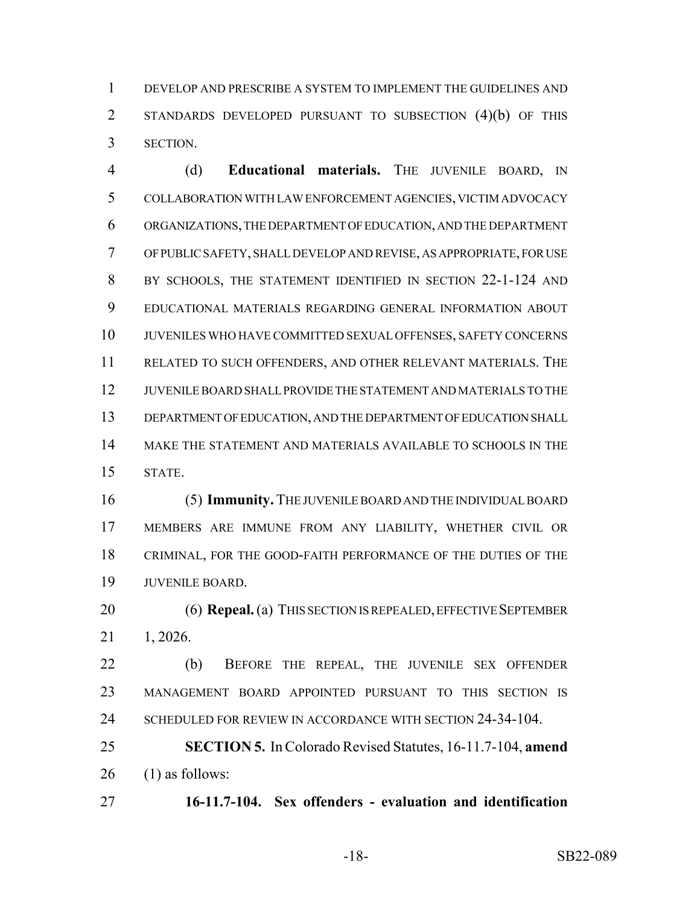DEVELOP AND PRESCRIBE A SYSTEM TO IMPLEMENT THE GUIDELINES AND STANDARDS DEVELOPED PURSUANT TO SUBSECTION (4)(b) OF THIS SECTION.

 (d) **Educational materials.** THE JUVENILE BOARD, IN COLLABORATION WITH LAW ENFORCEMENT AGENCIES, VICTIM ADVOCACY ORGANIZATIONS, THE DEPARTMENT OF EDUCATION, AND THE DEPARTMENT OF PUBLIC SAFETY, SHALL DEVELOP AND REVISE, AS APPROPRIATE, FOR USE 8 BY SCHOOLS, THE STATEMENT IDENTIFIED IN SECTION 22-1-124 AND EDUCATIONAL MATERIALS REGARDING GENERAL INFORMATION ABOUT JUVENILES WHO HAVE COMMITTED SEXUAL OFFENSES, SAFETY CONCERNS RELATED TO SUCH OFFENDERS, AND OTHER RELEVANT MATERIALS. THE JUVENILE BOARD SHALL PROVIDE THE STATEMENT AND MATERIALS TO THE DEPARTMENT OF EDUCATION, AND THE DEPARTMENT OF EDUCATION SHALL MAKE THE STATEMENT AND MATERIALS AVAILABLE TO SCHOOLS IN THE STATE.

 (5) **Immunity.** THE JUVENILE BOARD AND THE INDIVIDUAL BOARD MEMBERS ARE IMMUNE FROM ANY LIABILITY, WHETHER CIVIL OR CRIMINAL, FOR THE GOOD-FAITH PERFORMANCE OF THE DUTIES OF THE JUVENILE BOARD.

 (6) **Repeal.** (a) THIS SECTION IS REPEALED, EFFECTIVE SEPTEMBER 1, 2026.

 (b) BEFORE THE REPEAL, THE JUVENILE SEX OFFENDER MANAGEMENT BOARD APPOINTED PURSUANT TO THIS SECTION IS 24 SCHEDULED FOR REVIEW IN ACCORDANCE WITH SECTION 24-34-104.

 **SECTION 5.** In Colorado Revised Statutes, 16-11.7-104, **amend** (1) as follows:

**16-11.7-104. Sex offenders - evaluation and identification**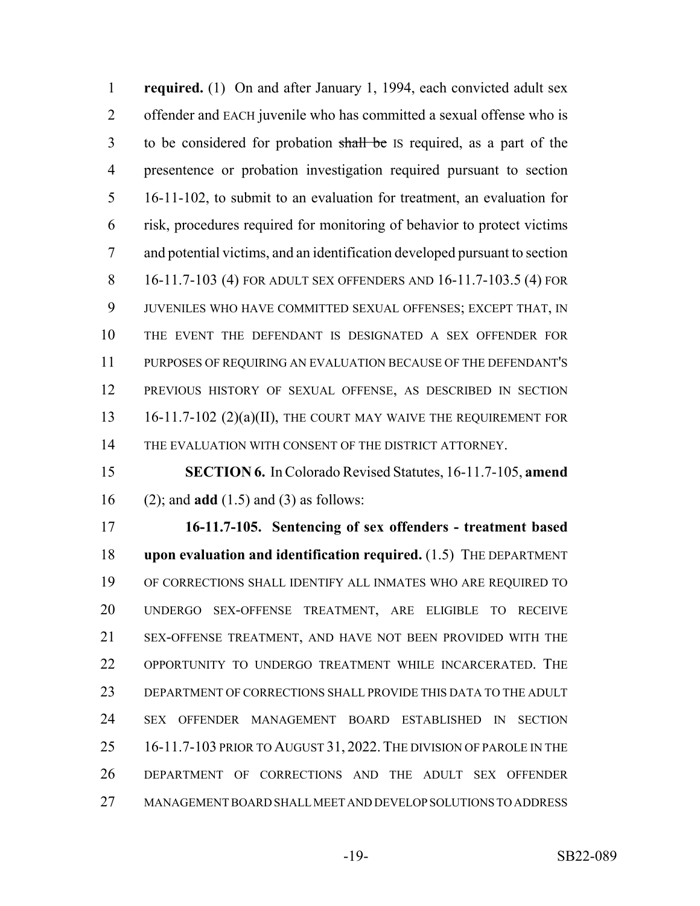**required.** (1) On and after January 1, 1994, each convicted adult sex offender and EACH juvenile who has committed a sexual offense who is to be considered for probation shall be IS required, as a part of the presentence or probation investigation required pursuant to section 16-11-102, to submit to an evaluation for treatment, an evaluation for risk, procedures required for monitoring of behavior to protect victims and potential victims, and an identification developed pursuant to section 16-11.7-103 (4) FOR ADULT SEX OFFENDERS AND 16-11.7-103.5 (4) FOR JUVENILES WHO HAVE COMMITTED SEXUAL OFFENSES; EXCEPT THAT, IN THE EVENT THE DEFENDANT IS DESIGNATED A SEX OFFENDER FOR PURPOSES OF REQUIRING AN EVALUATION BECAUSE OF THE DEFENDANT'S PREVIOUS HISTORY OF SEXUAL OFFENSE, AS DESCRIBED IN SECTION 13 16-11.7-102 (2)(a)(II), THE COURT MAY WAIVE THE REQUIREMENT FOR 14 THE EVALUATION WITH CONSENT OF THE DISTRICT ATTORNEY.

 **SECTION 6.** In Colorado Revised Statutes, 16-11.7-105, **amend** (2); and **add** (1.5) and (3) as follows:

 **16-11.7-105. Sentencing of sex offenders - treatment based upon evaluation and identification required.** (1.5) THE DEPARTMENT OF CORRECTIONS SHALL IDENTIFY ALL INMATES WHO ARE REQUIRED TO UNDERGO SEX-OFFENSE TREATMENT, ARE ELIGIBLE TO RECEIVE SEX-OFFENSE TREATMENT, AND HAVE NOT BEEN PROVIDED WITH THE OPPORTUNITY TO UNDERGO TREATMENT WHILE INCARCERATED. THE DEPARTMENT OF CORRECTIONS SHALL PROVIDE THIS DATA TO THE ADULT SEX OFFENDER MANAGEMENT BOARD ESTABLISHED IN SECTION 25 16-11.7-103 PRIOR TO AUGUST 31, 2022. THE DIVISION OF PAROLE IN THE DEPARTMENT OF CORRECTIONS AND THE ADULT SEX OFFENDER MANAGEMENT BOARD SHALL MEET AND DEVELOP SOLUTIONS TO ADDRESS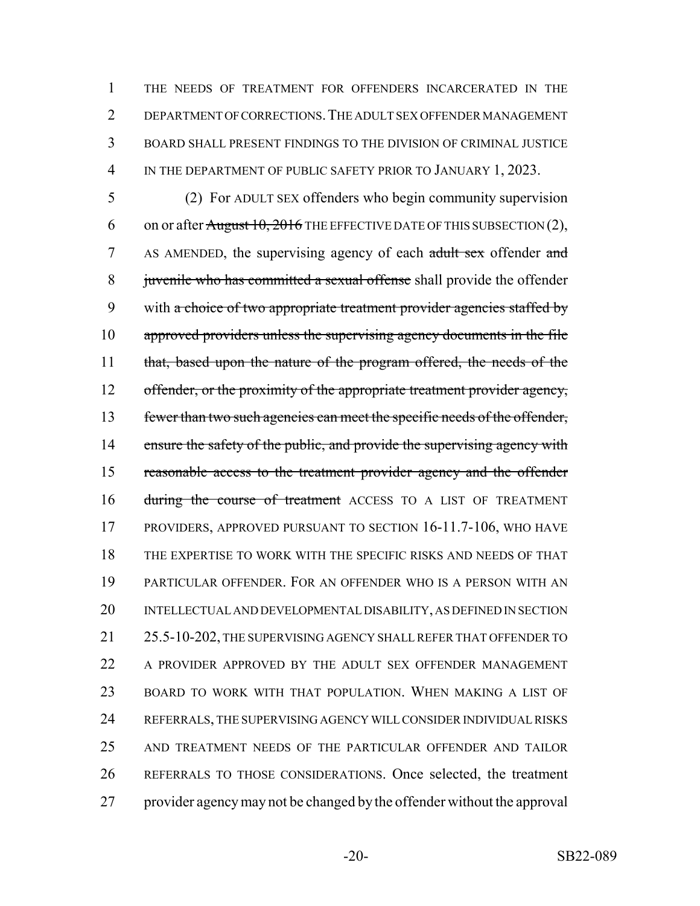THE NEEDS OF TREATMENT FOR OFFENDERS INCARCERATED IN THE DEPARTMENT OF CORRECTIONS.THE ADULT SEX OFFENDER MANAGEMENT BOARD SHALL PRESENT FINDINGS TO THE DIVISION OF CRIMINAL JUSTICE 4 IN THE DEPARTMENT OF PUBLIC SAFETY PRIOR TO JANUARY 1, 2023.

5 (2) For ADULT SEX offenders who begin community supervision 6 on or after August 10, 2016 THE EFFECTIVE DATE OF THIS SUBSECTION  $(2)$ , 7 AS AMENDED, the supervising agency of each adult sex offender and 8 juvenile who has committed a sexual offense shall provide the offender 9 with a choice of two appropriate treatment provider agencies staffed by 10 approved providers unless the supervising agency documents in the file 11 that, based upon the nature of the program offered, the needs of the 12 offender, or the proximity of the appropriate treatment provider agency, 13 fewer than two such agencies can meet the specific needs of the offender, 14 ensure the safety of the public, and provide the supervising agency with 15 reasonable access to the treatment provider agency and the offender 16 during the course of treatment ACCESS TO A LIST OF TREATMENT 17 PROVIDERS, APPROVED PURSUANT TO SECTION 16-11.7-106, WHO HAVE 18 THE EXPERTISE TO WORK WITH THE SPECIFIC RISKS AND NEEDS OF THAT 19 PARTICULAR OFFENDER. FOR AN OFFENDER WHO IS A PERSON WITH AN 20 INTELLECTUAL AND DEVELOPMENTAL DISABILITY, AS DEFINED IN SECTION 21 25.5-10-202, THE SUPERVISING AGENCY SHALL REFER THAT OFFENDER TO 22 A PROVIDER APPROVED BY THE ADULT SEX OFFENDER MANAGEMENT 23 BOARD TO WORK WITH THAT POPULATION. WHEN MAKING A LIST OF 24 REFERRALS, THE SUPERVISING AGENCY WILL CONSIDER INDIVIDUAL RISKS 25 AND TREATMENT NEEDS OF THE PARTICULAR OFFENDER AND TAILOR 26 REFERRALS TO THOSE CONSIDERATIONS. Once selected, the treatment 27 provider agency may not be changed by the offender without the approval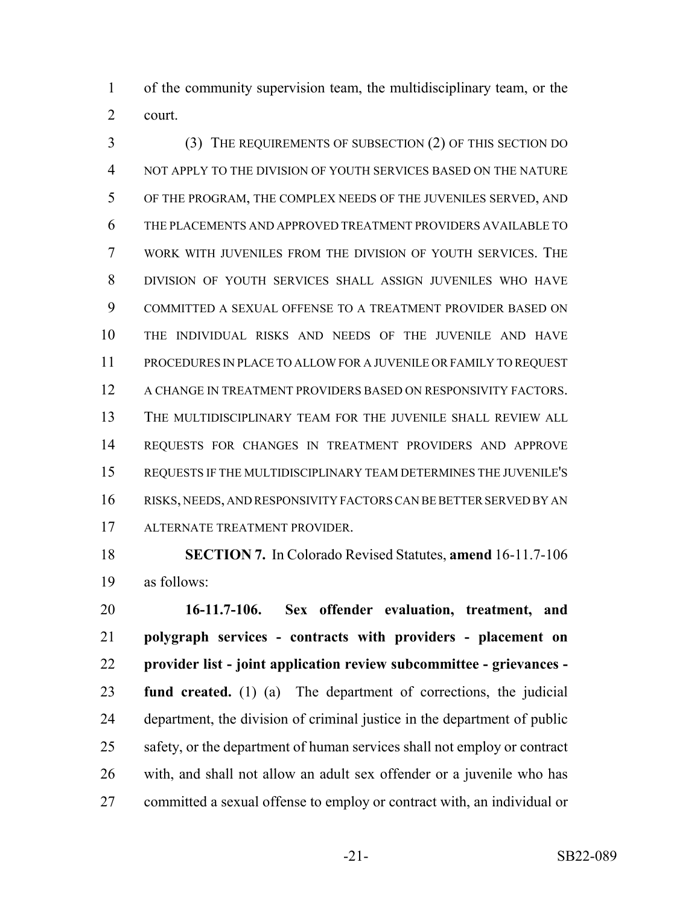of the community supervision team, the multidisciplinary team, or the court.

 (3) THE REQUIREMENTS OF SUBSECTION (2) OF THIS SECTION DO NOT APPLY TO THE DIVISION OF YOUTH SERVICES BASED ON THE NATURE OF THE PROGRAM, THE COMPLEX NEEDS OF THE JUVENILES SERVED, AND THE PLACEMENTS AND APPROVED TREATMENT PROVIDERS AVAILABLE TO WORK WITH JUVENILES FROM THE DIVISION OF YOUTH SERVICES. THE DIVISION OF YOUTH SERVICES SHALL ASSIGN JUVENILES WHO HAVE COMMITTED A SEXUAL OFFENSE TO A TREATMENT PROVIDER BASED ON THE INDIVIDUAL RISKS AND NEEDS OF THE JUVENILE AND HAVE PROCEDURES IN PLACE TO ALLOW FOR A JUVENILE OR FAMILY TO REQUEST A CHANGE IN TREATMENT PROVIDERS BASED ON RESPONSIVITY FACTORS. THE MULTIDISCIPLINARY TEAM FOR THE JUVENILE SHALL REVIEW ALL REQUESTS FOR CHANGES IN TREATMENT PROVIDERS AND APPROVE REQUESTS IF THE MULTIDISCIPLINARY TEAM DETERMINES THE JUVENILE'S RISKS, NEEDS, AND RESPONSIVITY FACTORS CAN BE BETTER SERVED BY AN ALTERNATE TREATMENT PROVIDER.

 **SECTION 7.** In Colorado Revised Statutes, **amend** 16-11.7-106 as follows:

 **16-11.7-106. Sex offender evaluation, treatment, and polygraph services - contracts with providers - placement on provider list - joint application review subcommittee - grievances - fund created.** (1) (a) The department of corrections, the judicial department, the division of criminal justice in the department of public 25 safety, or the department of human services shall not employ or contract with, and shall not allow an adult sex offender or a juvenile who has committed a sexual offense to employ or contract with, an individual or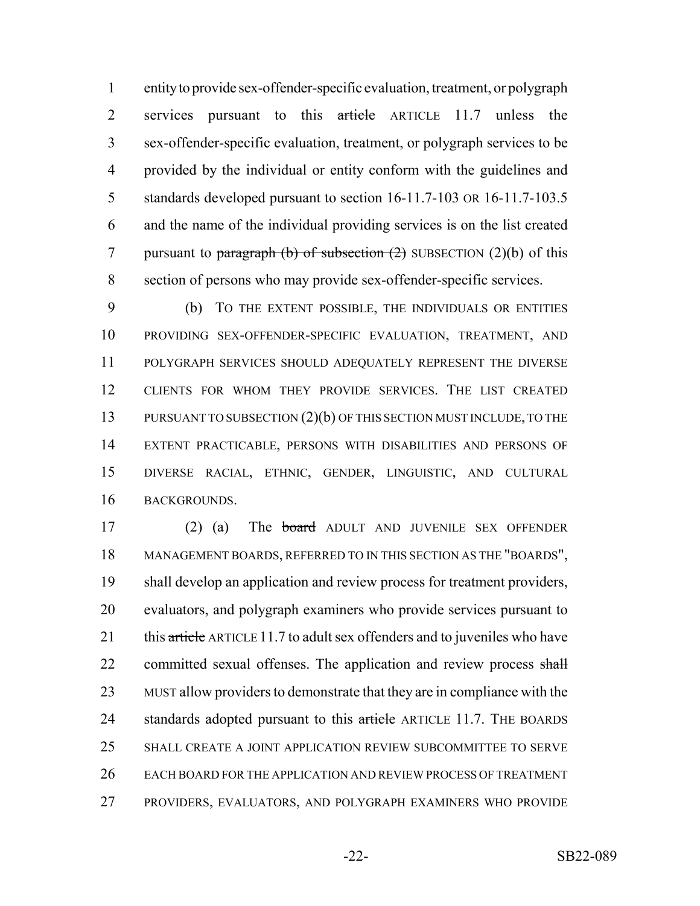entity to provide sex-offender-specific evaluation, treatment, or polygraph 2 services pursuant to this article ARTICLE 11.7 unless the sex-offender-specific evaluation, treatment, or polygraph services to be provided by the individual or entity conform with the guidelines and standards developed pursuant to section 16-11.7-103 OR 16-11.7-103.5 and the name of the individual providing services is on the list created 7 pursuant to paragraph (b) of subsection  $(2)$  SUBSECTION  $(2)(b)$  of this section of persons who may provide sex-offender-specific services.

 (b) TO THE EXTENT POSSIBLE, THE INDIVIDUALS OR ENTITIES PROVIDING SEX-OFFENDER-SPECIFIC EVALUATION, TREATMENT, AND POLYGRAPH SERVICES SHOULD ADEQUATELY REPRESENT THE DIVERSE CLIENTS FOR WHOM THEY PROVIDE SERVICES. THE LIST CREATED 13 PURSUANT TO SUBSECTION (2)(b) OF THIS SECTION MUST INCLUDE, TO THE EXTENT PRACTICABLE, PERSONS WITH DISABILITIES AND PERSONS OF DIVERSE RACIAL, ETHNIC, GENDER, LINGUISTIC, AND CULTURAL BACKGROUNDS.

 (2) (a) The board ADULT AND JUVENILE SEX OFFENDER MANAGEMENT BOARDS, REFERRED TO IN THIS SECTION AS THE "BOARDS", shall develop an application and review process for treatment providers, evaluators, and polygraph examiners who provide services pursuant to 21 this article ARTICLE 11.7 to adult sex offenders and to juveniles who have 22 committed sexual offenses. The application and review process shall MUST allow providers to demonstrate that they are in compliance with the 24 standards adopted pursuant to this article ARTICLE 11.7. THE BOARDS SHALL CREATE A JOINT APPLICATION REVIEW SUBCOMMITTEE TO SERVE EACH BOARD FOR THE APPLICATION AND REVIEW PROCESS OF TREATMENT PROVIDERS, EVALUATORS, AND POLYGRAPH EXAMINERS WHO PROVIDE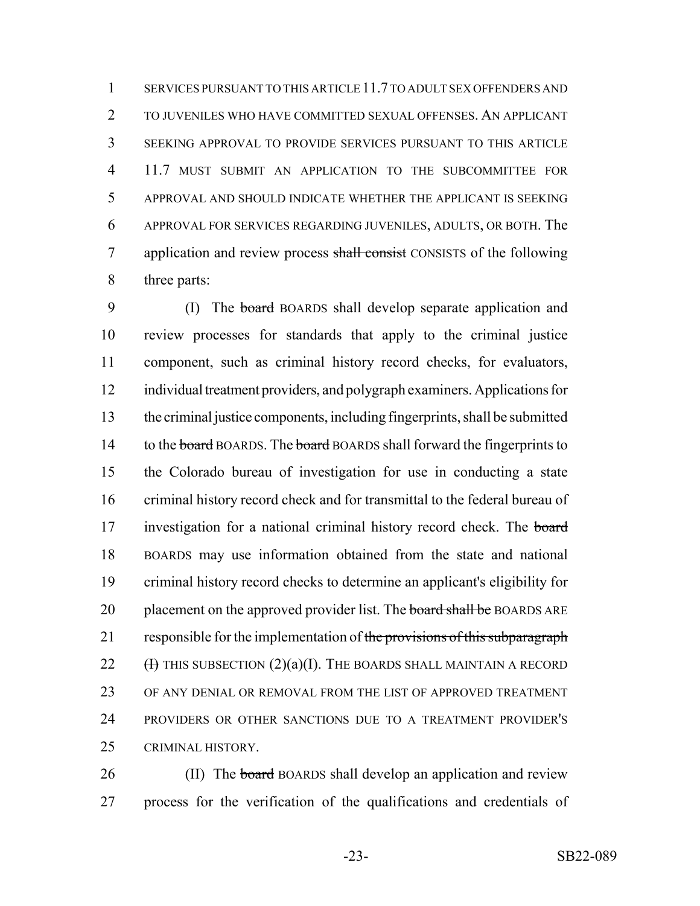SERVICES PURSUANT TO THIS ARTICLE 11.7 TO ADULT SEX OFFENDERS AND TO JUVENILES WHO HAVE COMMITTED SEXUAL OFFENSES. AN APPLICANT SEEKING APPROVAL TO PROVIDE SERVICES PURSUANT TO THIS ARTICLE 11.7 MUST SUBMIT AN APPLICATION TO THE SUBCOMMITTEE FOR APPROVAL AND SHOULD INDICATE WHETHER THE APPLICANT IS SEEKING APPROVAL FOR SERVICES REGARDING JUVENILES, ADULTS, OR BOTH. The 7 application and review process shall consist CONSISTS of the following three parts:

9 (I) The board BOARDS shall develop separate application and review processes for standards that apply to the criminal justice component, such as criminal history record checks, for evaluators, individual treatment providers, and polygraph examiners. Applications for the criminal justice components, including fingerprints, shall be submitted 14 to the board BOARDS. The board BOARDS shall forward the fingerprints to the Colorado bureau of investigation for use in conducting a state criminal history record check and for transmittal to the federal bureau of 17 investigation for a national criminal history record check. The board BOARDS may use information obtained from the state and national criminal history record checks to determine an applicant's eligibility for 20 placement on the approved provider list. The board shall be BOARDS ARE 21 responsible for the implementation of the provisions of this subparagraph  $(H)$  THIS SUBSECTION  $(2)(a)(I)$ . The BOARDS SHALL MAINTAIN A RECORD OF ANY DENIAL OR REMOVAL FROM THE LIST OF APPROVED TREATMENT PROVIDERS OR OTHER SANCTIONS DUE TO A TREATMENT PROVIDER'S CRIMINAL HISTORY.

26 (II) The board BOARDS shall develop an application and review process for the verification of the qualifications and credentials of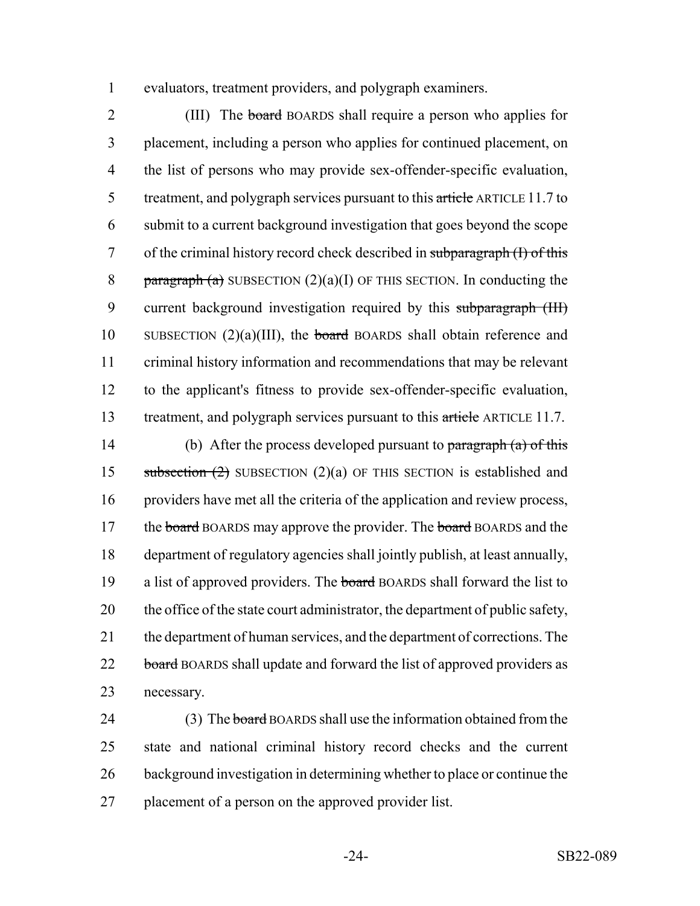1 evaluators, treatment providers, and polygraph examiners.

2 (III) The board BOARDS shall require a person who applies for 3 placement, including a person who applies for continued placement, on 4 the list of persons who may provide sex-offender-specific evaluation, 5 treatment, and polygraph services pursuant to this article ARTICLE 11.7 to 6 submit to a current background investigation that goes beyond the scope 7 of the criminal history record check described in subparagraph (I) of this 8 paragraph (a) SUBSECTION  $(2)(a)(I)$  OF THIS SECTION. In conducting the 9 current background investigation required by this subparagraph (III) 10 SUBSECTION  $(2)(a)(III)$ , the board BOARDS shall obtain reference and 11 criminal history information and recommendations that may be relevant 12 to the applicant's fitness to provide sex-offender-specific evaluation, 13 treatment, and polygraph services pursuant to this article ARTICLE 11.7.

14 (b) After the process developed pursuant to  $\frac{\partial^2 f}{\partial x^2}$  by  $\frac{\partial^2 f}{\partial y^2}$ 15 subsection  $(2)$  SUBSECTION  $(2)(a)$  OF THIS SECTION is established and 16 providers have met all the criteria of the application and review process, 17 the board BOARDS may approve the provider. The board BOARDS and the 18 department of regulatory agencies shall jointly publish, at least annually, 19 a list of approved providers. The board BOARDS shall forward the list to 20 the office of the state court administrator, the department of public safety, 21 the department of human services, and the department of corrections. The 22 board BOARDS shall update and forward the list of approved providers as 23 necessary.

24 (3) The board BOARDS shall use the information obtained from the 25 state and national criminal history record checks and the current 26 background investigation in determining whether to place or continue the 27 placement of a person on the approved provider list.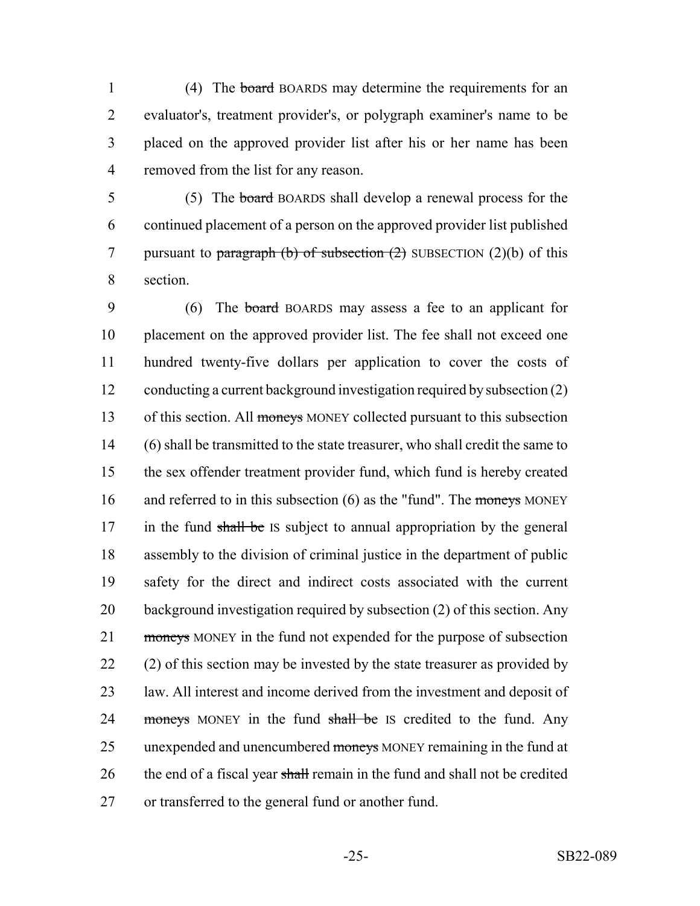1 (4) The board BOARDS may determine the requirements for an evaluator's, treatment provider's, or polygraph examiner's name to be placed on the approved provider list after his or her name has been removed from the list for any reason.

5 (5) The board BOARDS shall develop a renewal process for the 6 continued placement of a person on the approved provider list published 7 pursuant to paragraph (b) of subsection  $(2)$  SUBSECTION  $(2)(b)$  of this 8 section.

9 (6) The board BOARDS may assess a fee to an applicant for 10 placement on the approved provider list. The fee shall not exceed one 11 hundred twenty-five dollars per application to cover the costs of 12 conducting a current background investigation required by subsection (2) 13 of this section. All moneys MONEY collected pursuant to this subsection 14 (6) shall be transmitted to the state treasurer, who shall credit the same to 15 the sex offender treatment provider fund, which fund is hereby created 16 and referred to in this subsection  $(6)$  as the "fund". The moneys MONEY 17 in the fund shall be IS subject to annual appropriation by the general 18 assembly to the division of criminal justice in the department of public 19 safety for the direct and indirect costs associated with the current 20 background investigation required by subsection (2) of this section. Any 21 moneys MONEY in the fund not expended for the purpose of subsection 22 (2) of this section may be invested by the state treasurer as provided by 23 law. All interest and income derived from the investment and deposit of 24 moneys MONEY in the fund shall be IS credited to the fund. Any 25 unexpended and unencumbered moneys MONEY remaining in the fund at 26 the end of a fiscal year shall remain in the fund and shall not be credited 27 or transferred to the general fund or another fund.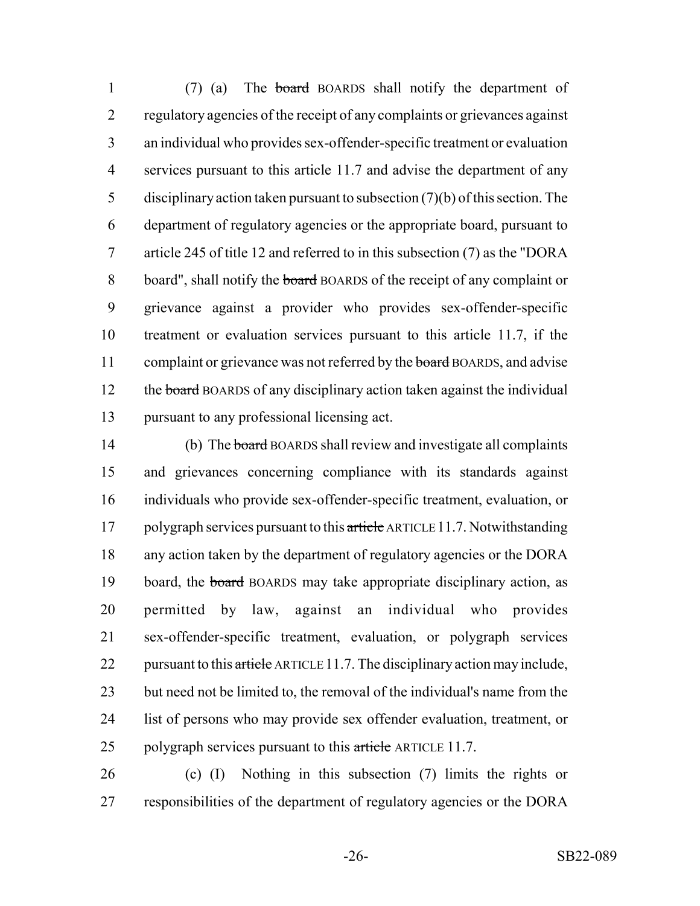(7) (a) The board BOARDS shall notify the department of regulatory agencies of the receipt of any complaints or grievances against an individual who provides sex-offender-specific treatment or evaluation services pursuant to this article 11.7 and advise the department of any disciplinary action taken pursuant to subsection (7)(b) of this section. The department of regulatory agencies or the appropriate board, pursuant to article 245 of title 12 and referred to in this subsection (7) as the "DORA 8 board", shall notify the board BOARDS of the receipt of any complaint or grievance against a provider who provides sex-offender-specific treatment or evaluation services pursuant to this article 11.7, if the 11 complaint or grievance was not referred by the board BOARDS, and advise 12 the board BOARDS of any disciplinary action taken against the individual pursuant to any professional licensing act.

14 (b) The board BOARDS shall review and investigate all complaints and grievances concerning compliance with its standards against individuals who provide sex-offender-specific treatment, evaluation, or 17 polygraph services pursuant to this article ARTICLE 11.7. Notwithstanding any action taken by the department of regulatory agencies or the DORA 19 board, the board BOARDS may take appropriate disciplinary action, as permitted by law, against an individual who provides sex-offender-specific treatment, evaluation, or polygraph services 22 pursuant to this article ARTICLE 11.7. The disciplinary action may include, 23 but need not be limited to, the removal of the individual's name from the list of persons who may provide sex offender evaluation, treatment, or 25 polygraph services pursuant to this article ARTICLE 11.7.

 (c) (I) Nothing in this subsection (7) limits the rights or responsibilities of the department of regulatory agencies or the DORA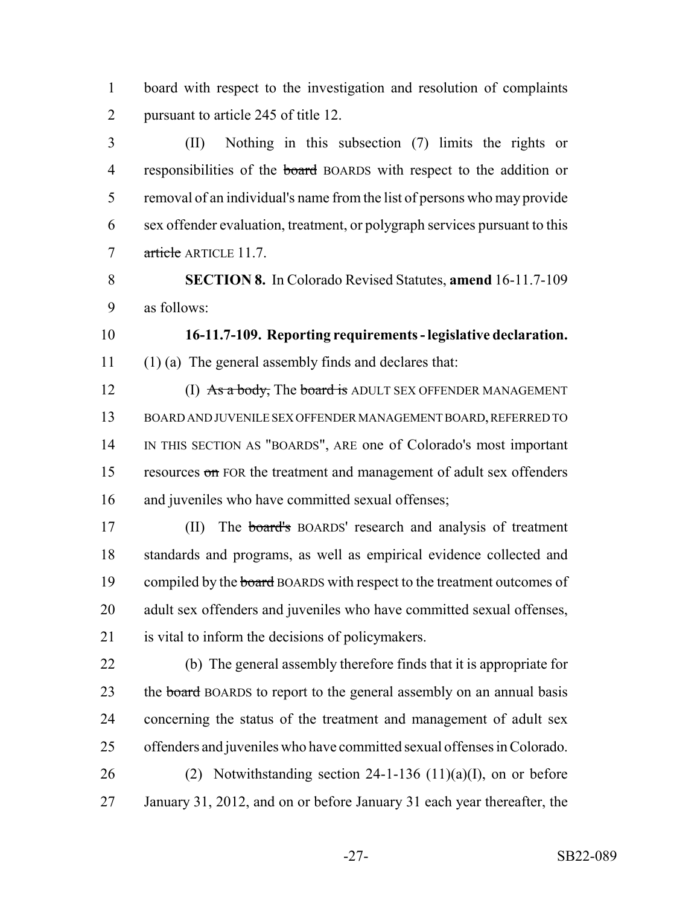board with respect to the investigation and resolution of complaints 2 pursuant to article 245 of title 12.

 (II) Nothing in this subsection (7) limits the rights or 4 responsibilities of the board BOARDS with respect to the addition or removal of an individual's name from the list of persons who may provide sex offender evaluation, treatment, or polygraph services pursuant to this 7 article ARTICLE 11.7.

 **SECTION 8.** In Colorado Revised Statutes, **amend** 16-11.7-109 as follows:

 **16-11.7-109. Reporting requirements - legislative declaration.** (1) (a) The general assembly finds and declares that:

12 (I) As a body, The board is ADULT SEX OFFENDER MANAGEMENT BOARD AND JUVENILE SEX OFFENDER MANAGEMENT BOARD, REFERRED TO IN THIS SECTION AS "BOARDS", ARE one of Colorado's most important 15 resources on FOR the treatment and management of adult sex offenders and juveniles who have committed sexual offenses;

17 (II) The **board's** BOARDS' research and analysis of treatment standards and programs, as well as empirical evidence collected and 19 compiled by the board BOARDS with respect to the treatment outcomes of adult sex offenders and juveniles who have committed sexual offenses, is vital to inform the decisions of policymakers.

 (b) The general assembly therefore finds that it is appropriate for 23 the board BOARDS to report to the general assembly on an annual basis concerning the status of the treatment and management of adult sex offenders and juveniles who have committed sexual offenses in Colorado. 26 (2) Notwithstanding section  $24-1-136$  (11)(a)(I), on or before

January 31, 2012, and on or before January 31 each year thereafter, the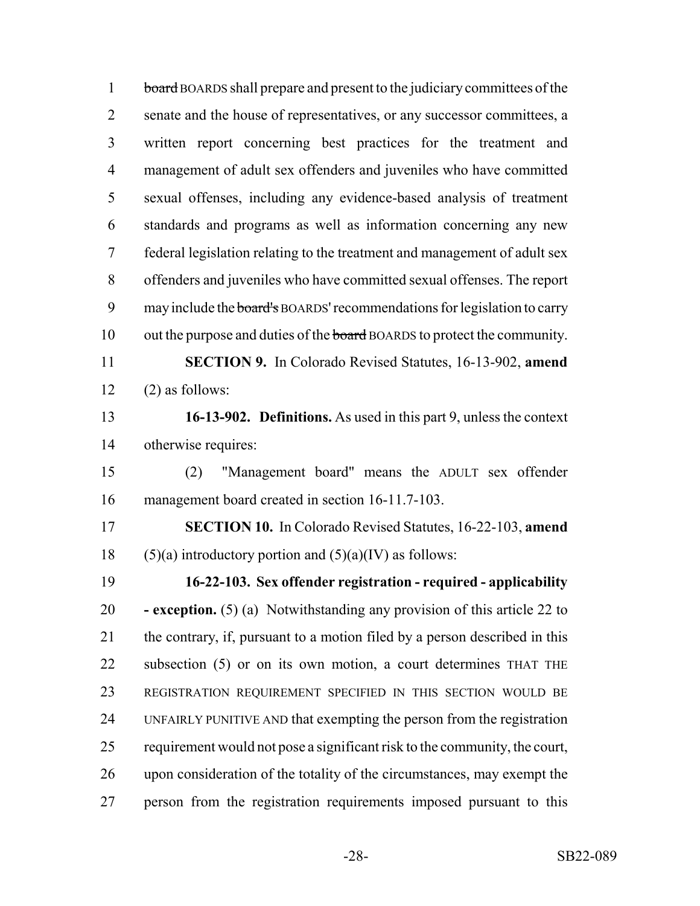1 board BOARDS shall prepare and present to the judiciary committees of the 2 senate and the house of representatives, or any successor committees, a written report concerning best practices for the treatment and management of adult sex offenders and juveniles who have committed sexual offenses, including any evidence-based analysis of treatment standards and programs as well as information concerning any new federal legislation relating to the treatment and management of adult sex offenders and juveniles who have committed sexual offenses. The report 9 may include the board's BOARDS' recommendations for legislation to carry 10 out the purpose and duties of the board BOARDS to protect the community. **SECTION 9.** In Colorado Revised Statutes, 16-13-902, **amend**  $12 \qquad (2)$  as follows: **16-13-902. Definitions.** As used in this part 9, unless the context otherwise requires: (2) "Management board" means the ADULT sex offender management board created in section 16-11.7-103. **SECTION 10.** In Colorado Revised Statutes, 16-22-103, **amend** 18 (5)(a) introductory portion and  $(5)(a)(IV)$  as follows: **16-22-103. Sex offender registration - required - applicability - exception.** (5) (a) Notwithstanding any provision of this article 22 to the contrary, if, pursuant to a motion filed by a person described in this subsection (5) or on its own motion, a court determines THAT THE REGISTRATION REQUIREMENT SPECIFIED IN THIS SECTION WOULD BE UNFAIRLY PUNITIVE AND that exempting the person from the registration requirement would not pose a significant risk to the community, the court, upon consideration of the totality of the circumstances, may exempt the person from the registration requirements imposed pursuant to this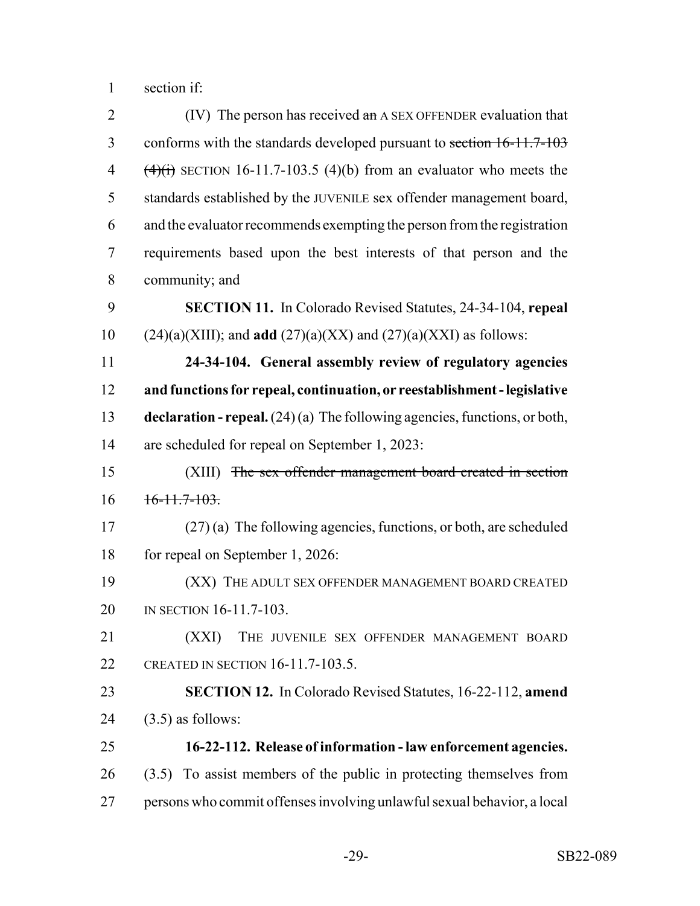section if:

| $\overline{2}$ | (IV) The person has received $\alpha n$ A SEX OFFENDER evaluation that        |
|----------------|-------------------------------------------------------------------------------|
| 3              | conforms with the standards developed pursuant to section 16-11.7-103         |
| 4              | $\overline{(4)}$ SECTION 16-11.7-103.5 (4)(b) from an evaluator who meets the |
| 5              | standards established by the JUVENILE sex offender management board,          |
| 6              | and the evaluator recommends exempting the person from the registration       |
| 7              | requirements based upon the best interests of that person and the             |
| 8              | community; and                                                                |
| 9              | <b>SECTION 11.</b> In Colorado Revised Statutes, 24-34-104, repeal            |
| 10             | $(24)(a)(XIII)$ ; and <b>add</b> $(27)(a)(XX)$ and $(27)(a)(XXI)$ as follows: |
| 11             | 24-34-104. General assembly review of regulatory agencies                     |
| 12             | and functions for repeal, continuation, or reestablishment - legislative      |
| 13             | declaration - repeal. $(24)(a)$ The following agencies, functions, or both,   |
| 14             | are scheduled for repeal on September 1, 2023:                                |
| 15             | (XIII) The sex offender management board created in section                   |
| 16             | $16-11.7-103.$                                                                |
| 17             | $(27)$ (a) The following agencies, functions, or both, are scheduled          |
| 18             | for repeal on September 1, 2026:                                              |
| 19             | (XX) THE ADULT SEX OFFENDER MANAGEMENT BOARD CREATED                          |
| 20             | IN SECTION 16-11.7-103.                                                       |
| 21             | (XXI)<br>THE JUVENILE SEX OFFENDER MANAGEMENT BOARD                           |
| 22             | CREATED IN SECTION 16-11.7-103.5.                                             |
| 23             | <b>SECTION 12.</b> In Colorado Revised Statutes, 16-22-112, amend             |
| 24             | $(3.5)$ as follows:                                                           |
| 25             | 16-22-112. Release of information - law enforcement agencies.                 |
| 26             | (3.5) To assist members of the public in protecting themselves from           |
| 27             | persons who commit offenses involving unlawful sexual behavior, a local       |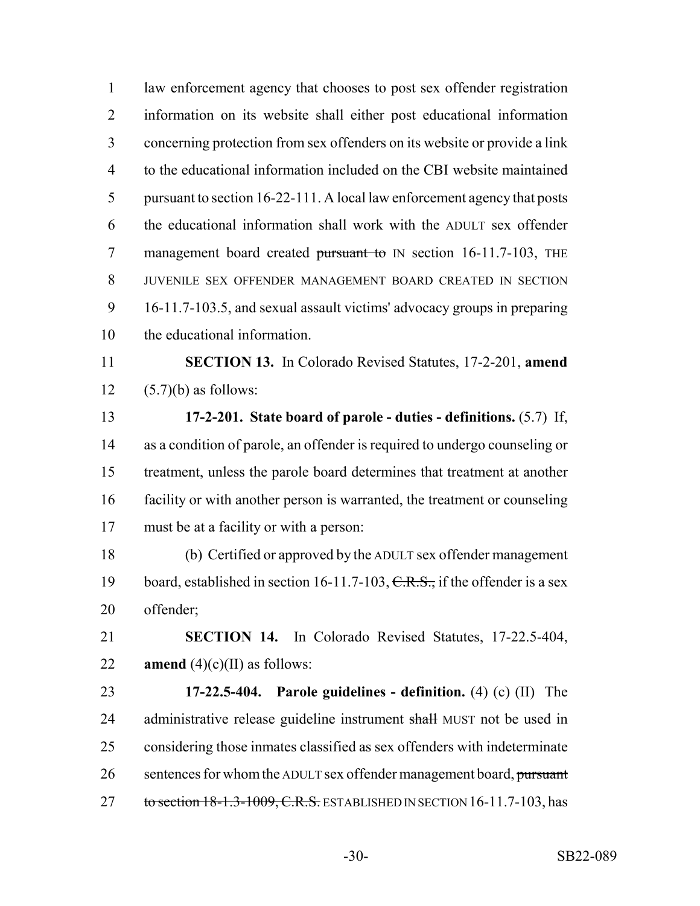law enforcement agency that chooses to post sex offender registration information on its website shall either post educational information concerning protection from sex offenders on its website or provide a link to the educational information included on the CBI website maintained pursuant to section 16-22-111. A local law enforcement agency that posts the educational information shall work with the ADULT sex offender 7 management board created pursuant to IN section 16-11.7-103, THE JUVENILE SEX OFFENDER MANAGEMENT BOARD CREATED IN SECTION 16-11.7-103.5, and sexual assault victims' advocacy groups in preparing the educational information. **SECTION 13.** In Colorado Revised Statutes, 17-2-201, **amend**  $(5.7)(b)$  as follows: **17-2-201. State board of parole - duties - definitions.** (5.7) If, as a condition of parole, an offender is required to undergo counseling or treatment, unless the parole board determines that treatment at another facility or with another person is warranted, the treatment or counseling must be at a facility or with a person: (b) Certified or approved by the ADULT sex offender management 19 board, established in section 16-11.7-103, C.R.S., if the offender is a sex offender; **SECTION 14.** In Colorado Revised Statutes, 17-22.5-404, **amend**  $(4)(c)(II)$  as follows: **17-22.5-404. Parole guidelines - definition.** (4) (c) (II) The 24 administrative release guideline instrument shall MUST not be used in considering those inmates classified as sex offenders with indeterminate 26 sentences for whom the ADULT sex offender management board, pursuant 27 to section 18-1.3-1009, C.R.S. ESTABLISHED IN SECTION 16-11.7-103, has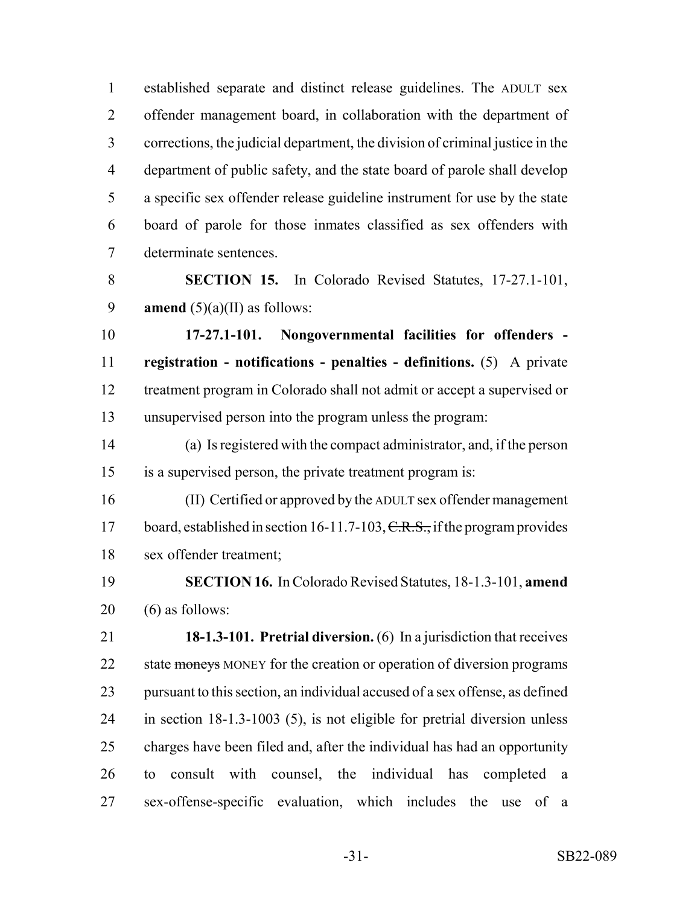established separate and distinct release guidelines. The ADULT sex offender management board, in collaboration with the department of corrections, the judicial department, the division of criminal justice in the department of public safety, and the state board of parole shall develop a specific sex offender release guideline instrument for use by the state board of parole for those inmates classified as sex offenders with determinate sentences.

 **SECTION 15.** In Colorado Revised Statutes, 17-27.1-101, 9 **amend**  $(5)(a)(II)$  as follows:

 **17-27.1-101. Nongovernmental facilities for offenders - registration - notifications - penalties - definitions.** (5) A private treatment program in Colorado shall not admit or accept a supervised or unsupervised person into the program unless the program:

 (a) Is registered with the compact administrator, and, if the person is a supervised person, the private treatment program is:

 (II) Certified or approved by the ADULT sex offender management 17 board, established in section 16-11.7-103,  $C.R.S.,$  if the program provides sex offender treatment;

 **SECTION 16.** In Colorado Revised Statutes, 18-1.3-101, **amend** (6) as follows:

 **18-1.3-101. Pretrial diversion.** (6) In a jurisdiction that receives 22 state moneys MONEY for the creation or operation of diversion programs pursuant to this section, an individual accused of a sex offense, as defined in section 18-1.3-1003 (5), is not eligible for pretrial diversion unless charges have been filed and, after the individual has had an opportunity to consult with counsel, the individual has completed a sex-offense-specific evaluation, which includes the use of a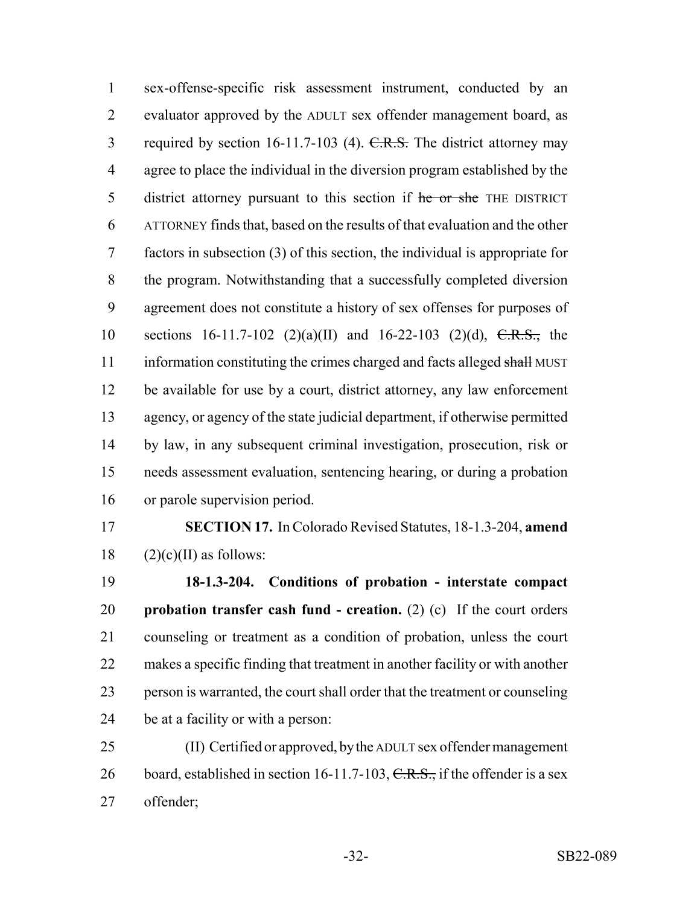sex-offense-specific risk assessment instrument, conducted by an evaluator approved by the ADULT sex offender management board, as 3 required by section 16-11.7-103 (4). C.R.S. The district attorney may agree to place the individual in the diversion program established by the 5 district attorney pursuant to this section if he or she THE DISTRICT ATTORNEY finds that, based on the results of that evaluation and the other factors in subsection (3) of this section, the individual is appropriate for the program. Notwithstanding that a successfully completed diversion agreement does not constitute a history of sex offenses for purposes of 10 sections 16-11.7-102 (2)(a)(II) and 16-22-103 (2)(d),  $C.R.S.,$  the 11 information constituting the crimes charged and facts alleged shall MUST be available for use by a court, district attorney, any law enforcement agency, or agency of the state judicial department, if otherwise permitted by law, in any subsequent criminal investigation, prosecution, risk or needs assessment evaluation, sentencing hearing, or during a probation or parole supervision period.

 **SECTION 17.** In Colorado Revised Statutes, 18-1.3-204, **amend** 18  $(2)(c)(II)$  as follows:

 **18-1.3-204. Conditions of probation - interstate compact probation transfer cash fund - creation.** (2) (c) If the court orders counseling or treatment as a condition of probation, unless the court makes a specific finding that treatment in another facility or with another person is warranted, the court shall order that the treatment or counseling be at a facility or with a person:

 (II) Certified or approved, by the ADULT sex offender management 26 board, established in section 16-11.7-103,  $C.R.S.,$  if the offender is a sex offender;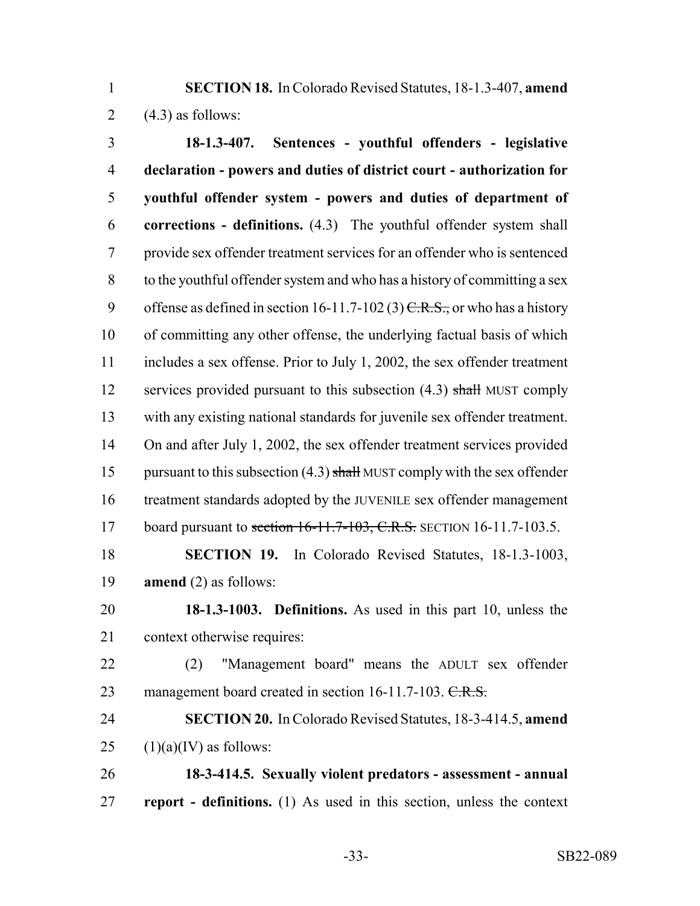**SECTION 18.** In Colorado Revised Statutes, 18-1.3-407, **amend** 2  $(4.3)$  as follows:

 **18-1.3-407. Sentences - youthful offenders - legislative declaration - powers and duties of district court - authorization for youthful offender system - powers and duties of department of corrections - definitions.** (4.3) The youthful offender system shall provide sex offender treatment services for an offender who is sentenced to the youthful offender system and who has a history of committing a sex 9 offense as defined in section 16-11.7-102 (3)  $C.R.S.,$  or who has a history of committing any other offense, the underlying factual basis of which includes a sex offense. Prior to July 1, 2002, the sex offender treatment 12 services provided pursuant to this subsection (4.3) shall MUST comply with any existing national standards for juvenile sex offender treatment. 14 On and after July 1, 2002, the sex offender treatment services provided 15 pursuant to this subsection  $(4.3)$  shall MUST comply with the sex offender treatment standards adopted by the JUVENILE sex offender management 17 board pursuant to section 16-11.7-103, C.R.S. SECTION 16-11.7-103.5. **SECTION 19.** In Colorado Revised Statutes, 18-1.3-1003,

**amend** (2) as follows:

 **18-1.3-1003. Definitions.** As used in this part 10, unless the context otherwise requires:

- (2) "Management board" means the ADULT sex offender 23 management board created in section 16-11.7-103. C.R.S.
- **SECTION 20.** In Colorado Revised Statutes, 18-3-414.5, **amend** 25  $(1)(a)(IV)$  as follows:

 **18-3-414.5. Sexually violent predators - assessment - annual report - definitions.** (1) As used in this section, unless the context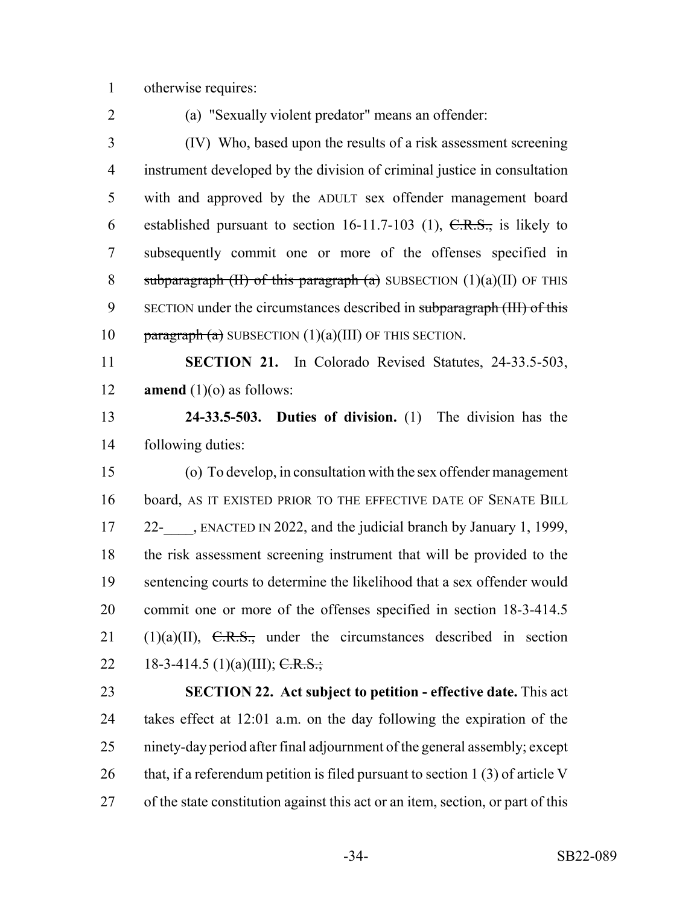otherwise requires:

(a) "Sexually violent predator" means an offender:

 (IV) Who, based upon the results of a risk assessment screening instrument developed by the division of criminal justice in consultation with and approved by the ADULT sex offender management board 6 established pursuant to section  $16-11.7-103$  (1),  $C.R.S.,$  is likely to subsequently commit one or more of the offenses specified in 8 subparagraph  $(H)$  of this paragraph  $(a)$  SUBSECTION  $(1)(a)(II)$  OF THIS 9 SECTION under the circumstances described in subparagraph (III) of this 10 paragraph (a) SUBSECTION  $(1)(a)(III)$  OF THIS SECTION.

 **SECTION 21.** In Colorado Revised Statutes, 24-33.5-503, **amend** (1)(o) as follows:

 **24-33.5-503. Duties of division.** (1) The division has the following duties:

 (o) To develop, in consultation with the sex offender management board, AS IT EXISTED PRIOR TO THE EFFECTIVE DATE OF SENATE BILL 17 22- , ENACTED IN 2022, and the judicial branch by January 1, 1999, the risk assessment screening instrument that will be provided to the sentencing courts to determine the likelihood that a sex offender would commit one or more of the offenses specified in section 18-3-414.5 21 (1)(a)(II),  $\overline{C.R.S.}$ , under the circumstances described in section 22 18-3-414.5 (1)(a)(III);  $\overline{C.R.S.}$ ;

 **SECTION 22. Act subject to petition - effective date.** This act takes effect at 12:01 a.m. on the day following the expiration of the ninety-day period after final adjournment of the general assembly; except 26 that, if a referendum petition is filed pursuant to section 1 (3) of article V of the state constitution against this act or an item, section, or part of this